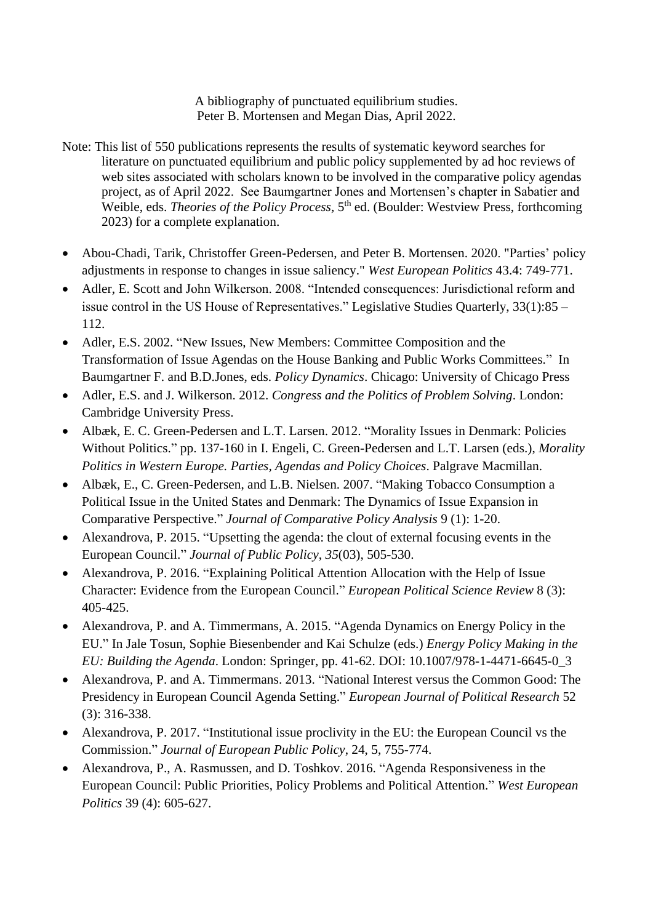A bibliography of punctuated equilibrium studies. Peter B. Mortensen and Megan Dias, April 2022.

- Note: This list of 550 publications represents the results of systematic keyword searches for literature on punctuated equilibrium and public policy supplemented by ad hoc reviews of web sites associated with scholars known to be involved in the comparative policy agendas project, as of April 2022. See Baumgartner Jones and Mortensen's chapter in Sabatier and Weible, eds. *Theories of the Policy Process*, 5<sup>th</sup> ed. (Boulder: Westview Press, forthcoming 2023) for a complete explanation.
- Abou-Chadi, Tarik, Christoffer Green-Pedersen, and Peter B. Mortensen. 2020. "Parties' policy adjustments in response to changes in issue saliency." *West European Politics* 43.4: 749-771.
- Adler, E. Scott and John Wilkerson. 2008. "Intended consequences: Jurisdictional reform and issue control in the US House of Representatives." Legislative Studies Quarterly, 33(1):85 – 112.
- Adler, E.S. 2002. "New Issues, New Members: Committee Composition and the Transformation of Issue Agendas on the House Banking and Public Works Committees." In Baumgartner F. and B.D.Jones, eds. *Policy Dynamics*. Chicago: University of Chicago Press
- Adler, E.S. and J. Wilkerson. 2012. *Congress and the Politics of Problem Solving*. London: Cambridge University Press.
- Albæk, E. C. Green-Pedersen and L.T. Larsen. 2012. "Morality Issues in Denmark: Policies Without Politics." pp. 137-160 in I. Engeli, C. Green-Pedersen and L.T. Larsen (eds.), *Morality Politics in Western Europe. Parties, Agendas and Policy Choices*. Palgrave Macmillan.
- Albæk, E., C. Green-Pedersen, and L.B. Nielsen. 2007. "Making Tobacco Consumption a Political Issue in the United States and Denmark: The Dynamics of Issue Expansion in Comparative Perspective." *Journal of Comparative Policy Analysis* 9 (1): 1-20.
- Alexandrova, P. 2015. "Upsetting the agenda: the clout of external focusing events in the European Council." *Journal of Public Policy*, *35*(03), 505-530.
- Alexandrova, P. 2016. "Explaining Political Attention Allocation with the Help of Issue Character: Evidence from the European Council." *European Political Science Review* 8 (3): 405-425.
- Alexandrova, P. and A. Timmermans, A. 2015. "Agenda Dynamics on Energy Policy in the EU." In Jale Tosun, Sophie Biesenbender and Kai Schulze (eds.) *Energy Policy Making in the EU: Building the Agenda*. London: Springer, pp. 41-62. DOI: 10.1007/978-1-4471-6645-0\_3
- Alexandrova, P. and A. Timmermans. 2013. "National Interest versus the Common Good: The Presidency in European Council Agenda Setting." *European Journal of Political Research* 52 (3): 316-338.
- Alexandrova, P. 2017. "Institutional issue proclivity in the EU: the European Council vs the Commission." *Journal of European Public Policy*, 24, 5, 755-774.
- Alexandrova, P., A. Rasmussen, and D. Toshkov. 2016. "Agenda Responsiveness in the European Council: Public Priorities, Policy Problems and Political Attention." *West European Politics* 39 (4): 605-627.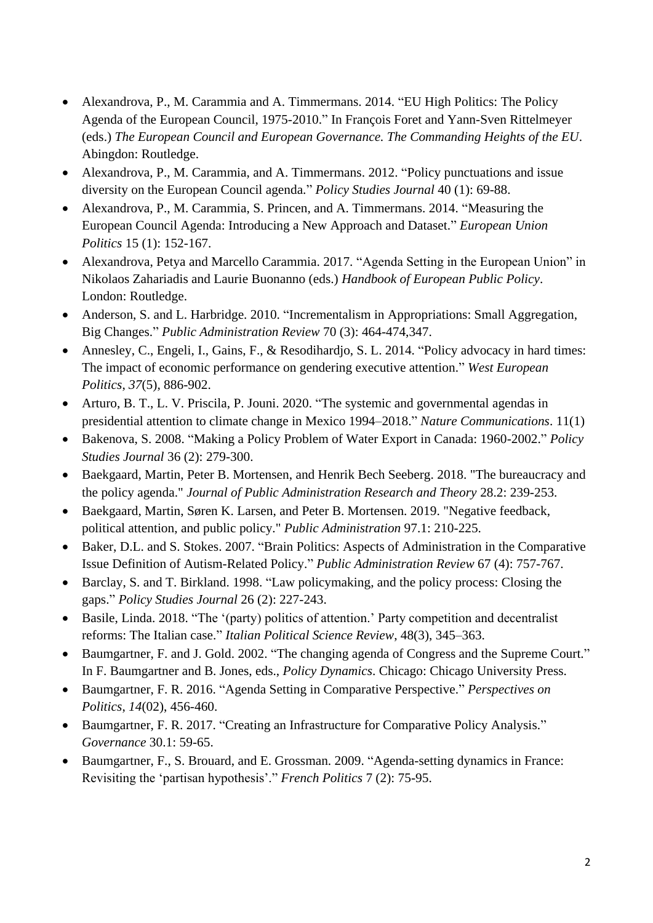- Alexandrova, P., M. Carammia and A. Timmermans. 2014. "EU High Politics: The Policy Agenda of the European Council, 1975-2010." In François Foret and Yann-Sven Rittelmeyer (eds.) *The European Council and European Governance. The Commanding Heights of the EU*. Abingdon: Routledge.
- Alexandrova, P., M. Carammia, and A. Timmermans. 2012. "Policy punctuations and issue diversity on the European Council agenda." *Policy Studies Journal* 40 (1): 69-88.
- Alexandrova, P., M. Carammia, S. Princen, and A. Timmermans. 2014. "Measuring the European Council Agenda: Introducing a New Approach and Dataset." *European Union Politics* 15 (1): 152-167.
- Alexandrova, Petya and Marcello Carammia. 2017. "Agenda Setting in the European Union" in Nikolaos Zahariadis and Laurie Buonanno (eds.) *Handbook of European Public Policy*. London: Routledge.
- Anderson, S. and L. Harbridge. 2010. "Incrementalism in Appropriations: Small Aggregation, Big Changes." *Public Administration Review* 70 (3): 464-474,347.
- Annesley, C., Engeli, I., Gains, F., & Resodihardjo, S. L. 2014. "Policy advocacy in hard times: The impact of economic performance on gendering executive attention." *West European Politics*, *37*(5), 886-902.
- Arturo, B. T., L. V. Priscila, P. Jouni. 2020. "The systemic and governmental agendas in presidential attention to climate change in Mexico 1994–2018." *Nature Communications*. 11(1)
- Bakenova, S. 2008. "Making a Policy Problem of Water Export in Canada: 1960-2002." *Policy Studies Journal* 36 (2): 279-300.
- Baekgaard, Martin, Peter B. Mortensen, and Henrik Bech Seeberg. 2018. "The bureaucracy and the policy agenda." *Journal of Public Administration Research and Theory* 28.2: 239-253.
- Baekgaard, Martin, Søren K. Larsen, and Peter B. Mortensen. 2019. "Negative feedback, political attention, and public policy." *Public Administration* 97.1: 210-225.
- Baker, D.L. and S. Stokes. 2007. "Brain Politics: Aspects of Administration in the Comparative Issue Definition of Autism-Related Policy." *Public Administration Review* 67 (4): 757-767.
- Barclay, S. and T. Birkland. 1998. "Law policymaking, and the policy process: Closing the gaps." *Policy Studies Journal* 26 (2): 227-243.
- Basile, Linda. 2018. "The '(party) politics of attention.' Party competition and decentralist reforms: The Italian case." *Italian Political Science Review*, 48(3), 345–363.
- Baumgartner, F. and J. Gold. 2002. "The changing agenda of Congress and the Supreme Court." In F. Baumgartner and B. Jones, eds., *Policy Dynamics*. Chicago: Chicago University Press.
- Baumgartner, F. R. 2016. "Agenda Setting in Comparative Perspective." *Perspectives on Politics*, *14*(02), 456-460.
- Baumgartner, F. R. 2017. "Creating an Infrastructure for Comparative Policy Analysis." *Governance* 30.1: 59-65.
- Baumgartner, F., S. Brouard, and E. Grossman. 2009. "Agenda-setting dynamics in France: Revisiting the 'partisan hypothesis'." *French Politics* 7 (2): 75-95.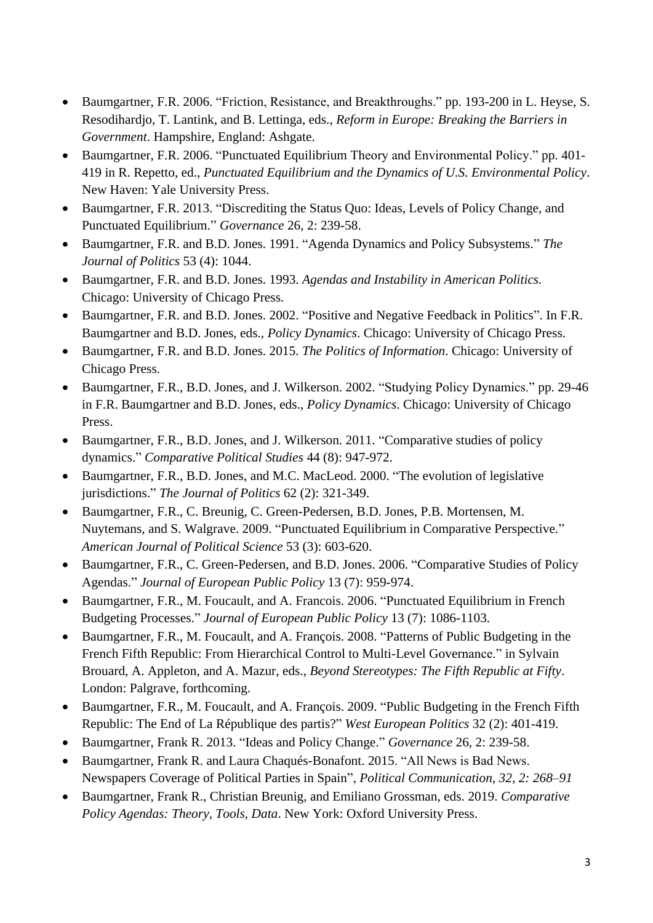- Baumgartner, F.R. 2006. "Friction, Resistance, and Breakthroughs." pp. 193-200 in L. Heyse, S. Resodihardjo, T. Lantink, and B. Lettinga, eds., *Reform in Europe: Breaking the Barriers in Government*. Hampshire, England: Ashgate.
- Baumgartner, F.R. 2006. "Punctuated Equilibrium Theory and Environmental Policy." pp. 401- 419 in R. Repetto, ed., *Punctuated Equilibrium and the Dynamics of U.S. Environmental Policy*. New Haven: Yale University Press.
- Baumgartner, F.R. 2013. "Discrediting the Status Quo: Ideas, Levels of Policy Change, and Punctuated Equilibrium." *Governance* 26, 2: 239-58.
- Baumgartner, F.R. and B.D. Jones. 1991. "Agenda Dynamics and Policy Subsystems." *The Journal of Politics* 53 (4): 1044.
- Baumgartner, F.R. and B.D. Jones. 1993. *Agendas and Instability in American Politics.* Chicago: University of Chicago Press.
- Baumgartner, F.R. and B.D. Jones. 2002. "Positive and Negative Feedback in Politics". In F.R. Baumgartner and B.D. Jones, eds., *Policy Dynamics*. Chicago: University of Chicago Press.
- Baumgartner, F.R. and B.D. Jones. 2015. *The Politics of Information*. Chicago: University of Chicago Press.
- Baumgartner, F.R., B.D. Jones, and J. Wilkerson. 2002. "Studying Policy Dynamics." pp. 29-46 in F.R. Baumgartner and B.D. Jones, eds., *Policy Dynamics*. Chicago: University of Chicago Press.
- Baumgartner, F.R., B.D. Jones, and J. Wilkerson. 2011. "Comparative studies of policy dynamics." *Comparative Political Studies* 44 (8): 947-972.
- Baumgartner, F.R., B.D. Jones, and M.C. MacLeod. 2000. "The evolution of legislative jurisdictions." *The Journal of Politics* 62 (2): 321-349.
- Baumgartner, F.R., C. Breunig, C. Green-Pedersen, B.D. Jones, P.B. Mortensen, M. Nuytemans, and S. Walgrave. 2009. "Punctuated Equilibrium in Comparative Perspective." *American Journal of Political Science* 53 (3): 603-620.
- Baumgartner, F.R., C. Green-Pedersen, and B.D. Jones. 2006. "Comparative Studies of Policy Agendas." *Journal of European Public Policy* 13 (7): 959-974.
- Baumgartner, F.R., M. Foucault, and A. Francois. 2006. "Punctuated Equilibrium in French Budgeting Processes." *Journal of European Public Policy* 13 (7): 1086-1103.
- Baumgartner, F.R., M. Foucault, and A. François. 2008. "Patterns of Public Budgeting in the French Fifth Republic: From Hierarchical Control to Multi-Level Governance." in Sylvain Brouard, A. Appleton, and A. Mazur, eds., *Beyond Stereotypes: The Fifth Republic at Fifty*. London: Palgrave, forthcoming.
- Baumgartner, F.R., M. Foucault, and A. François. 2009. "Public Budgeting in the French Fifth Republic: The End of La République des partis?" *West European Politics* 32 (2): 401-419.
- Baumgartner, Frank R. 2013. ["Ideas and Policy Change.](https://www.unc.edu/~fbaum/articles/Baumgartner-Governance-2012.pdf)" *Governance* 26, 2: 239-58.
- Baumgartner, Frank R. and Laura Chaqués-Bonafont. 2015. "All News is Bad News. Newspapers Coverage of Political Parties in Spain", *Political Communication*, *32, 2: 268–91*
- Baumgartner, Frank R., Christian Breunig, and Emiliano Grossman, eds. 2019. *Comparative Policy Agendas: Theory, Tools, Data*. New York: Oxford University Press.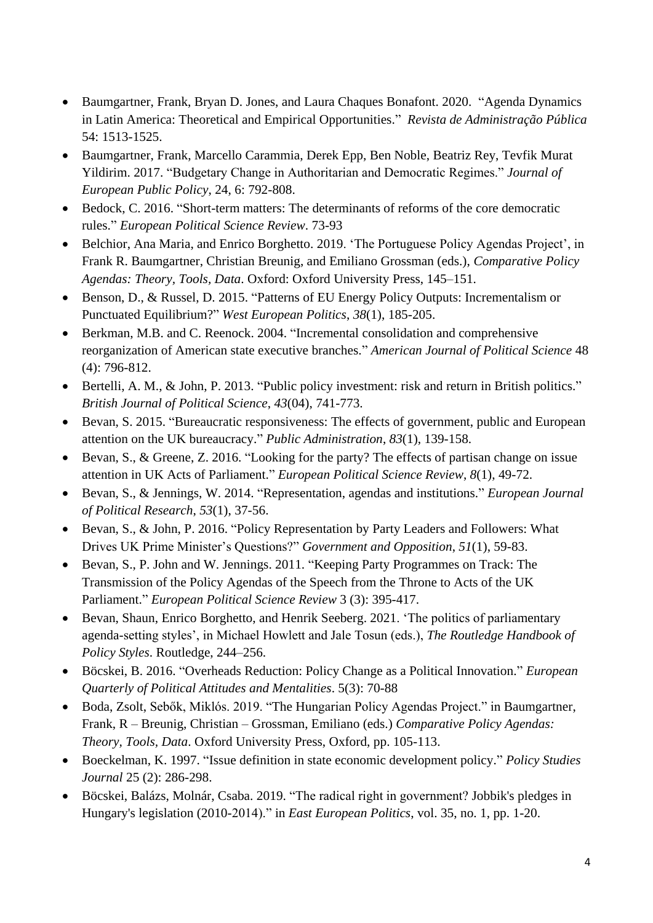- Baumgartner, Frank, Bryan D. Jones, and Laura Chaques Bonafont. 2020. "Agenda Dynamics" in Latin America: Theoretical and Empirical Opportunities." *Revista de Administração Pública*  54: 1513-1525.
- Baumgartner, Frank, Marcello Carammia, Derek Epp, Ben Noble, Beatriz Rey, Tevfik Murat Yildirim. 2017. "Budgetary Change in Authoritarian and Democratic Regimes." *Journal of European Public Policy*, 24, 6: 792-808.
- Bedock, C. 2016. "Short-term matters: The determinants of reforms of the core democratic rules." *European Political Science Review*. 73-93
- Belchior, Ana Maria, and Enrico Borghetto. 2019. 'The Portuguese Policy Agendas Project', in Frank R. Baumgartner, Christian Breunig, and Emiliano Grossman (eds.), *Comparative Policy Agendas: Theory, Tools, Data*. Oxford: Oxford University Press, 145–151.
- Benson, D., & Russel, D. 2015. "Patterns of EU Energy Policy Outputs: Incrementalism or Punctuated Equilibrium?" *West European Politics*, *38*(1), 185-205.
- Berkman, M.B. and C. Reenock. 2004. "Incremental consolidation and comprehensive reorganization of American state executive branches." *American Journal of Political Science* 48 (4): 796-812.
- Bertelli, A. M., & John, P. 2013. "Public policy investment: risk and return in British politics." *British Journal of Political Science*, *43*(04), 741-773.
- Bevan, S. 2015. "Bureaucratic responsiveness: The effects of government, public and European attention on the UK bureaucracy." *Public Administration*, *83*(1), 139-158.
- Bevan, S., & Greene, Z. 2016. "Looking for the party? The effects of partisan change on issue attention in UK Acts of Parliament." *European Political Science Review*, *8*(1), 49-72.
- Bevan, S., & Jennings, W. 2014. "Representation, agendas and institutions." *European Journal of Political Research*, *53*(1), 37-56.
- Bevan, S., & John, P. 2016. "Policy Representation by Party Leaders and Followers: What Drives UK Prime Minister's Questions?" *Government and Opposition*, *51*(1), 59-83.
- Bevan, S., P. John and W. Jennings. 2011. "Keeping Party Programmes on Track: The Transmission of the Policy Agendas of the Speech from the Throne to Acts of the UK Parliament." *European Political Science Review* 3 (3): 395-417.
- Bevan, Shaun, Enrico Borghetto, and Henrik Seeberg. 2021. 'The politics of parliamentary agenda-setting styles', in Michael Howlett and Jale Tosun (eds.), *The Routledge Handbook of Policy Styles*. Routledge, 244–256.
- Böcskei, B. 2016. "Overheads Reduction: Policy Change as a Political Innovation." *European Quarterly of Political Attitudes and Mentalities*. 5(3): 70-88
- Boda, Zsolt, Sebők, Miklós. 2019. "The Hungarian Policy Agendas Project." in Baumgartner, Frank, R – Breunig, Christian – Grossman, Emiliano (eds.) *Comparative Policy Agendas: Theory, Tools, Data*. Oxford University Press, Oxford, pp. 105-113.
- Boeckelman, K. 1997. "Issue definition in state economic development policy." *Policy Studies Journal* 25 (2): 286-298.
- Böcskei, Balázs, Molnár, Csaba. 2019. "The radical right in government? Jobbik's pledges in Hungary's legislation (2010-2014)." in *East European Politics*, vol. 35, no. 1, pp. 1-20.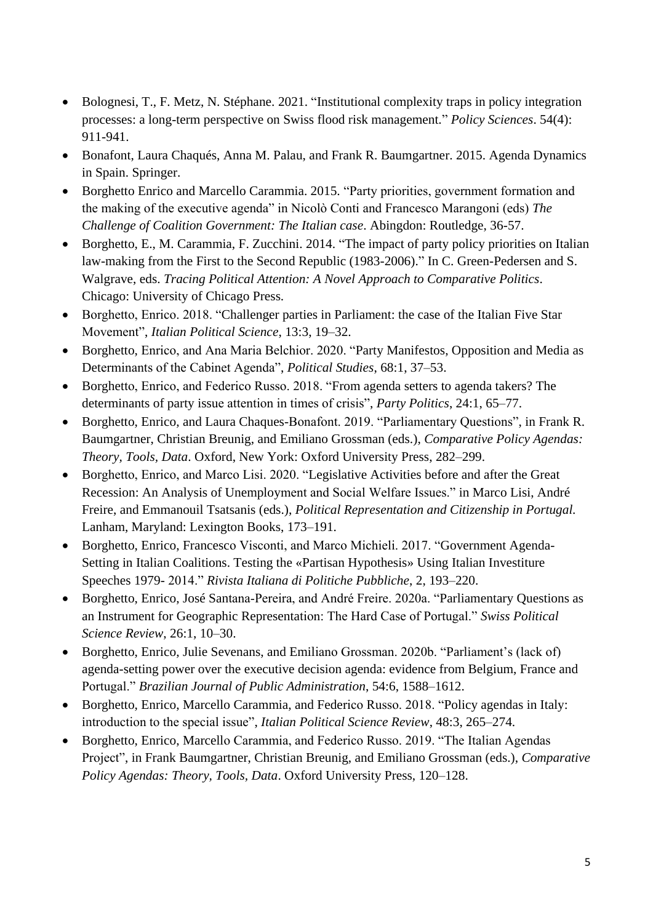- Bolognesi, T., F. Metz, N. Stéphane. 2021. "Institutional complexity traps in policy integration processes: a long-term perspective on Swiss flood risk management." *Policy Sciences*. 54(4): 911-941.
- Bonafont, Laura Chaqués, Anna M. Palau, and Frank R. Baumgartner. 2015. Agenda Dynamics in Spain. Springer.
- Borghetto Enrico and Marcello Carammia. 2015. "Party priorities, government formation and the making of the executive agenda" in Nicolò Conti and Francesco Marangoni (eds) *The Challenge of Coalition Government: The Italian case*. Abingdon: Routledge, 36-57.
- Borghetto, E., M. Carammia, F. Zucchini. 2014. "The impact of party policy priorities on Italian law-making from the First to the Second Republic (1983-2006)." In C. Green-Pedersen and S. Walgrave, eds. *Tracing Political Attention: A Novel Approach to Comparative Politics*. Chicago: University of Chicago Press.
- Borghetto, Enrico. 2018. "Challenger parties in Parliament: the case of the Italian Five Star Movement", *Italian Political Science*, 13:3, 19–32.
- Borghetto, Enrico, and Ana Maria Belchior. 2020. "Party Manifestos, Opposition and Media as Determinants of the Cabinet Agenda", *Political Studies*, 68:1, 37–53.
- Borghetto, Enrico, and Federico Russo. 2018. "From agenda setters to agenda takers? The determinants of party issue attention in times of crisis", *Party Politics*, 24:1, 65–77.
- Borghetto, Enrico, and Laura Chaques-Bonafont. 2019. "Parliamentary Questions", in Frank R. Baumgartner, Christian Breunig, and Emiliano Grossman (eds.), *Comparative Policy Agendas: Theory, Tools, Data*. Oxford, New York: Oxford University Press, 282–299.
- Borghetto, Enrico, and Marco Lisi. 2020. "Legislative Activities before and after the Great Recession: An Analysis of Unemployment and Social Welfare Issues." in Marco Lisi, André Freire, and Emmanouil Tsatsanis (eds.), *Political Representation and Citizenship in Portugal.* Lanham, Maryland: Lexington Books, 173–191.
- Borghetto, Enrico, Francesco Visconti, and Marco Michieli. 2017. "Government Agenda-Setting in Italian Coalitions. Testing the «Partisan Hypothesis» Using Italian Investiture Speeches 1979- 2014." *Rivista Italiana di Politiche Pubbliche*, 2, 193–220.
- Borghetto, Enrico, José Santana-Pereira, and André Freire. 2020a. "Parliamentary Questions as an Instrument for Geographic Representation: The Hard Case of Portugal." *Swiss Political Science Review*, 26:1, 10–30.
- Borghetto, Enrico, Julie Sevenans, and Emiliano Grossman. 2020b. "Parliament's (lack of) agenda-setting power over the executive decision agenda: evidence from Belgium, France and Portugal." *Brazilian Journal of Public Administration*, 54:6, 1588–1612.
- Borghetto, Enrico, Marcello Carammia, and Federico Russo. 2018. "Policy agendas in Italy: introduction to the special issue", *Italian Political Science Review*, 48:3, 265–274.
- Borghetto, Enrico, Marcello Carammia, and Federico Russo. 2019. "The Italian Agendas Project", in Frank Baumgartner, Christian Breunig, and Emiliano Grossman (eds.), *Comparative Policy Agendas: Theory, Tools, Data*. Oxford University Press, 120–128.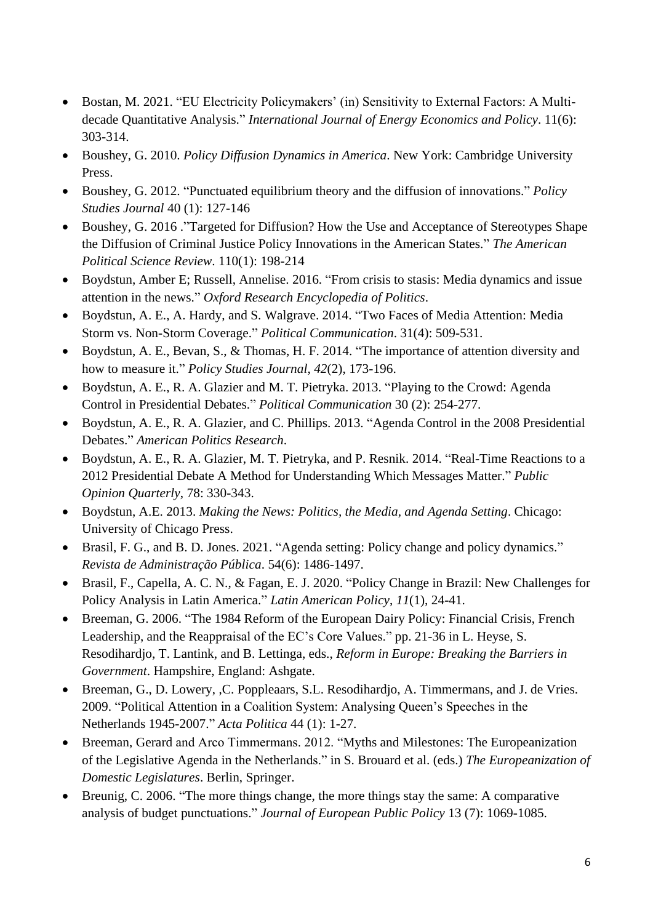- Bostan, M. 2021. "EU Electricity Policymakers' (in) Sensitivity to External Factors: A Multidecade Quantitative Analysis." *International Journal of Energy Economics and Policy*. 11(6): 303-314.
- Boushey, G. 2010. *Policy Diffusion Dynamics in America*. New York: Cambridge University Press.
- Boushey, G. 2012. "Punctuated equilibrium theory and the diffusion of innovations." *Policy Studies Journal* 40 (1): 127-146
- Boushey, G. 2016 ."Targeted for Diffusion? How the Use and Acceptance of Stereotypes Shape the Diffusion of Criminal Justice Policy Innovations in the American States." *The American Political Science Review*. 110(1): 198-214
- Boydstun, Amber E; Russell, Annelise. 2016. "From crisis to stasis: Media dynamics and issue attention in the news." *Oxford Research Encyclopedia of Politics*.
- Boydstun, A. E., A. Hardy, and S. Walgrave. 2014. "Two Faces of Media Attention: Media Storm vs. Non-Storm Coverage." *Political Communication*. 31(4): 509-531.
- Boydstun, A. E., Bevan, S., & Thomas, H. F. 2014. "The importance of attention diversity and how to measure it." *Policy Studies Journal*, *42*(2), 173-196.
- Boydstun, A. E., R. A. Glazier and M. T. Pietryka. 2013. "Playing to the Crowd: Agenda Control in Presidential Debates." *Political Communication* 30 (2): 254-277.
- Boydstun, A. E., R. A. Glazier, and C. Phillips. 2013. "Agenda Control in the 2008 Presidential Debates." *American Politics Research*.
- Boydstun, A. E., R. A. Glazier, M. T. Pietryka, and P. Resnik. 2014. "Real-Time Reactions to a 2012 Presidential Debate A Method for Understanding Which Messages Matter." *Public Opinion Quarterly*, 78: 330-343.
- Boydstun, A.E. 2013. *Making the News: Politics, the Media, and Agenda Setting*. Chicago: University of Chicago Press.
- Brasil, F. G., and B. D. Jones. 2021. "Agenda setting: Policy change and policy dynamics." *Revista de Administração Pública*. 54(6): 1486-1497.
- Brasil, F., Capella, A. C. N., & Fagan, E. J. 2020. "Policy Change in Brazil: New Challenges for Policy Analysis in Latin America." *Latin American Policy*, *11*(1), 24-41.
- Breeman, G. 2006. "The 1984 Reform of the European Dairy Policy: Financial Crisis, French Leadership, and the Reappraisal of the EC's Core Values." pp. 21-36 in L. Heyse, S. Resodihardjo, T. Lantink, and B. Lettinga, eds., *Reform in Europe: Breaking the Barriers in Government*. Hampshire, England: Ashgate.
- Breeman, G., D. Lowery, ,C. Poppleaars, S.L. Resodihardjo, A. Timmermans, and J. de Vries. 2009. "Political Attention in a Coalition System: Analysing Queen's Speeches in the Netherlands 1945-2007." *Acta Politica* 44 (1): 1-27.
- Breeman, Gerard and Arco Timmermans. 2012. "Myths and Milestones: The Europeanization of the Legislative Agenda in the Netherlands." in S. Brouard et al. (eds.) *The Europeanization of Domestic Legislatures*. Berlin, Springer.
- Breunig, C. 2006. "The more things change, the more things stay the same: A comparative analysis of budget punctuations." *Journal of European Public Policy* 13 (7): 1069-1085.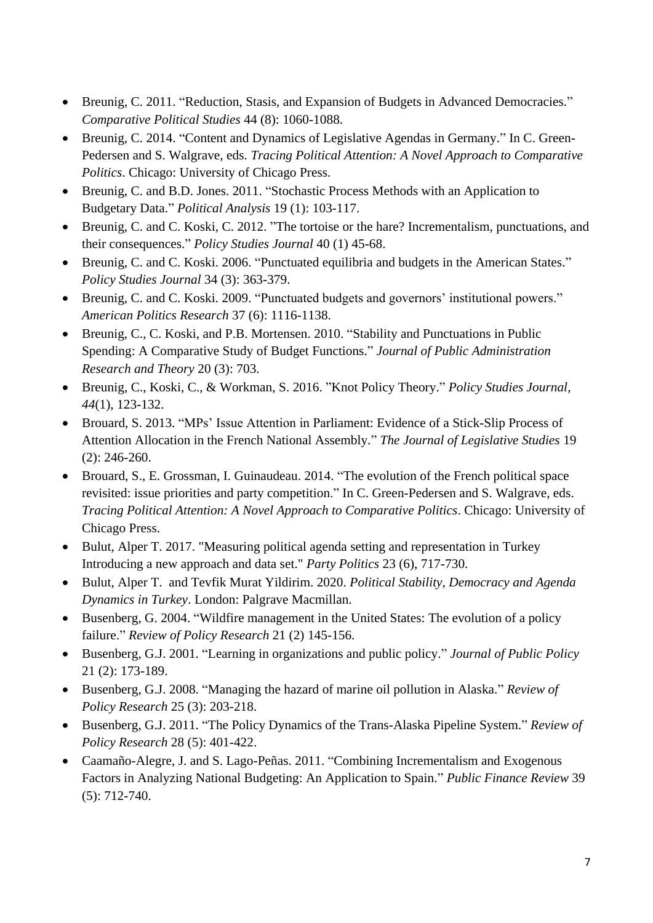- Breunig, C. 2011. "Reduction, Stasis, and Expansion of Budgets in Advanced Democracies." *Comparative Political Studies* 44 (8): 1060-1088.
- Breunig, C. 2014. "Content and Dynamics of Legislative Agendas in Germany." In C. Green-Pedersen and S. Walgrave, eds. *Tracing Political Attention: A Novel Approach to Comparative Politics*. Chicago: University of Chicago Press.
- Breunig, C. and B.D. Jones. 2011. "Stochastic Process Methods with an Application to Budgetary Data." *Political Analysis* 19 (1): 103-117.
- Breunig, C. and C. Koski, C. 2012. "The tortoise or the hare? Incrementalism, punctuations, and their consequences." *Policy Studies Journal* 40 (1) 45-68.
- Breunig, C. and C. Koski. 2006. "Punctuated equilibria and budgets in the American States." *Policy Studies Journal* 34 (3): 363-379.
- Breunig, C. and C. Koski. 2009. "Punctuated budgets and governors' institutional powers." *American Politics Research* 37 (6): 1116-1138.
- Breunig, C., C. Koski, and P.B. Mortensen. 2010. "Stability and Punctuations in Public Spending: A Comparative Study of Budget Functions." *Journal of Public Administration Research and Theory* 20 (3): 703.
- Breunig, C., Koski, C., & Workman, S. 2016. "Knot Policy Theory." *Policy Studies Journal*, *44*(1), 123-132.
- Brouard, S. 2013. "MPs' Issue Attention in Parliament: Evidence of a Stick-Slip Process of Attention Allocation in the French National Assembly." *The Journal of Legislative Studies* 19 (2): 246-260.
- Brouard, S., E. Grossman, I. Guinaudeau. 2014. "The evolution of the French political space revisited: issue priorities and party competition." In C. Green-Pedersen and S. Walgrave, eds. *Tracing Political Attention: A Novel Approach to Comparative Politics*. Chicago: University of Chicago Press.
- Bulut, Alper T. 2017. "Measuring political agenda setting and representation in Turkey Introducing a new approach and data set." *Party Politics* 23 (6), 717-730.
- Bulut, Alper T. and Tevfik Murat Yildirim. 2020. *Political Stability, Democracy and Agenda Dynamics in Turkey*. London: Palgrave Macmillan.
- Busenberg, G. 2004. "Wildfire management in the United States: The evolution of a policy failure." *Review of Policy Research* 21 (2) 145-156.
- Busenberg, G.J. 2001. "Learning in organizations and public policy." *Journal of Public Policy* 21 (2): 173-189.
- Busenberg, G.J. 2008. "Managing the hazard of marine oil pollution in Alaska." *Review of Policy Research* 25 (3): 203-218.
- Busenberg, G.J. 2011. "The Policy Dynamics of the Trans-Alaska Pipeline System." *Review of Policy Research* 28 (5): 401-422.
- Caamaño-Alegre, J. and S. Lago-Peñas. 2011. "Combining Incrementalism and Exogenous Factors in Analyzing National Budgeting: An Application to Spain." *Public Finance Review* 39 (5): 712-740.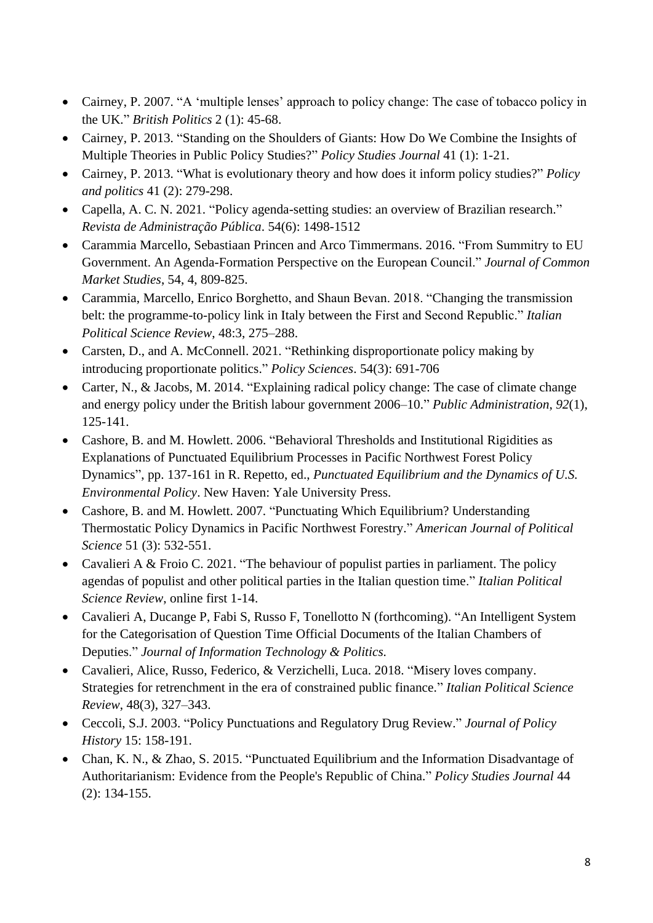- Cairney, P. 2007. "A 'multiple lenses' approach to policy change: The case of tobacco policy in the UK." *British Politics* 2 (1): 45-68.
- Cairney, P. 2013. "Standing on the Shoulders of Giants: How Do We Combine the Insights of Multiple Theories in Public Policy Studies?" *Policy Studies Journal* 41 (1): 1-21.
- Cairney, P. 2013. "What is evolutionary theory and how does it inform policy studies?" *Policy and politics* 41 (2): 279-298.
- Capella, A. C. N. 2021. "Policy agenda-setting studies: an overview of Brazilian research." *Revista de Administração Pública*. 54(6): 1498-1512
- Carammia Marcello, Sebastiaan Princen and Arco Timmermans. 2016. "From Summitry to EU Government. An Agenda-Formation Perspective on the European Council." *Journal of Common Market Studies*, 54, 4, 809-825.
- Carammia, Marcello, Enrico Borghetto, and Shaun Bevan. 2018. "Changing the transmission belt: the programme-to-policy link in Italy between the First and Second Republic." *Italian Political Science Review*, 48:3, 275–288.
- Carsten, D., and A. McConnell. 2021. "Rethinking disproportionate policy making by introducing proportionate politics." *Policy Sciences*. 54(3): 691-706
- Carter, N., & Jacobs, M. 2014. "Explaining radical policy change: The case of climate change and energy policy under the British labour government 2006–10." *Public Administration*, *92*(1), 125-141.
- Cashore, B. and M. Howlett. 2006. "Behavioral Thresholds and Institutional Rigidities as Explanations of Punctuated Equilibrium Processes in Pacific Northwest Forest Policy Dynamics", pp. 137-161 in R. Repetto, ed., *Punctuated Equilibrium and the Dynamics of U.S. Environmental Policy*. New Haven: Yale University Press.
- Cashore, B. and M. Howlett. 2007. "Punctuating Which Equilibrium? Understanding Thermostatic Policy Dynamics in Pacific Northwest Forestry." *American Journal of Political Science* 51 (3): 532-551.
- Cavalieri A & Froio C. 2021. "The behaviour of populist parties in parliament. The policy agendas of populist and other political parties in the Italian question time." *Italian Political Science Review*, online first 1-14.
- Cavalieri A, Ducange P, Fabi S, Russo F, Tonellotto N (forthcoming). "An Intelligent System for the Categorisation of Question Time Official Documents of the Italian Chambers of Deputies." *Journal of Information Technology & Politics.*
- Cavalieri, Alice, Russo, Federico, & Verzichelli, Luca. 2018. "Misery loves company. Strategies for retrenchment in the era of constrained public finance." *Italian Political Science Review*, 48(3), 327–343.
- Ceccoli, S.J. 2003. "Policy Punctuations and Regulatory Drug Review." *Journal of Policy History* 15: 158-191.
- Chan, K. N., & Zhao, S. 2015. "Punctuated Equilibrium and the Information Disadvantage of Authoritarianism: Evidence from the People's Republic of China." *Policy Studies Journal* 44 (2): 134-155.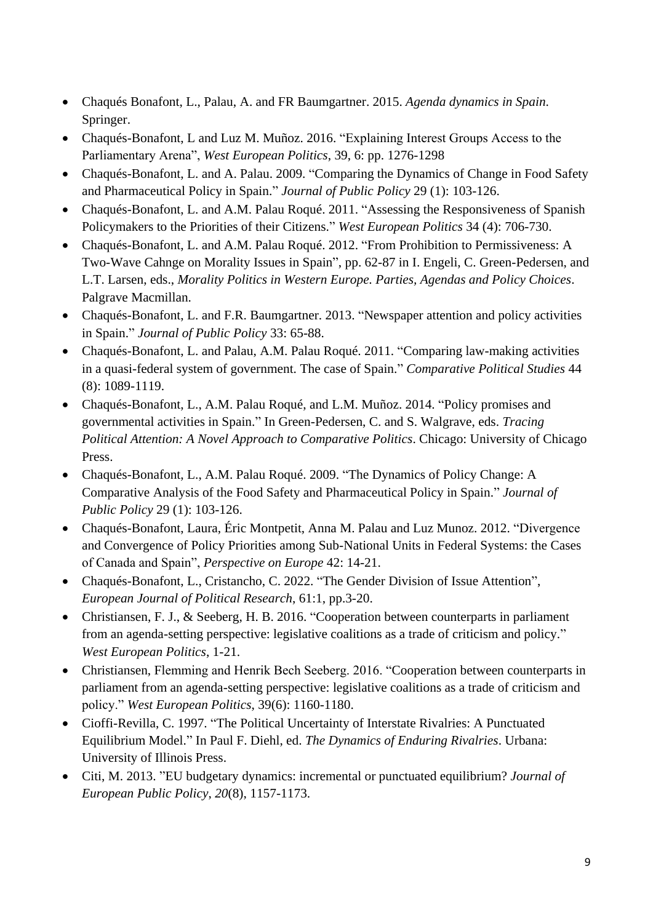- Chaqués Bonafont, L., Palau, A. and FR Baumgartner. 2015. *Agenda dynamics in Spain*. Springer.
- Chaqués-Bonafont, L and Luz M. Muñoz. 2016. "Explaining Interest Groups Access to the Parliamentary Arena", *West European Politics*, 39, 6: pp. 1276-1298
- Chaqués-Bonafont, L. and A. Palau. 2009. "Comparing the Dynamics of Change in Food Safety and Pharmaceutical Policy in Spain." *Journal of Public Policy* 29 (1): 103-126.
- Chaqués-Bonafont, L. and A.M. Palau Roqué. 2011. "Assessing the Responsiveness of Spanish Policymakers to the Priorities of their Citizens." *West European Politics* 34 (4): 706-730.
- Chaqués-Bonafont, L. and A.M. Palau Roqué. 2012. "From Prohibition to Permissiveness: A Two-Wave Cahnge on Morality Issues in Spain", pp. 62-87 in I. Engeli, C. Green-Pedersen, and L.T. Larsen, eds., *Morality Politics in Western Europe. Parties, Agendas and Policy Choices*. Palgrave Macmillan.
- Chaqués-Bonafont, L. and F.R. Baumgartner. 2013. "Newspaper attention and policy activities in Spain." *Journal of Public Policy* 33: 65-88.
- Chaqués-Bonafont, L. and Palau, A.M. Palau Roqué. 2011. "Comparing law-making activities in a quasi-federal system of government. The case of Spain." *Comparative Political Studies* 44 (8): 1089-1119.
- Chaqués-Bonafont, L., A.M. Palau Roqué, and L.M. Muñoz. 2014. "Policy promises and governmental activities in Spain." In Green-Pedersen, C. and S. Walgrave, eds. *Tracing Political Attention: A Novel Approach to Comparative Politics*. Chicago: University of Chicago Press.
- Chaqués-Bonafont, L., A.M. Palau Roqué. 2009. "The Dynamics of Policy Change: A Comparative Analysis of the Food Safety and Pharmaceutical Policy in Spain." *Journal of Public Policy* 29 (1): 103-126.
- Chaqués-Bonafont, Laura, Éric Montpetit, Anna M. Palau and Luz Munoz. 2012. "Divergence and Convergence of Policy Priorities among Sub-National Units in Federal Systems: the Cases of Canada and Spain", *Perspective on Europe* 42: 14-21.
- Chaqués-Bonafont, L., Cristancho, C. 2022. "The Gender Division of Issue Attention", *European Journal of Political Research*, 61:1, pp.3-20.
- Christiansen, F. J., & Seeberg, H. B. 2016. "Cooperation between counterparts in parliament from an agenda-setting perspective: legislative coalitions as a trade of criticism and policy." *West European Politics*, 1-21.
- Christiansen, Flemming and Henrik Bech Seeberg. 2016. "Cooperation between counterparts in parliament from an agenda-setting perspective: legislative coalitions as a trade of criticism and policy." *West European Politics*, 39(6): 1160-1180.
- Cioffi-Revilla, C. 1997. "The Political Uncertainty of Interstate Rivalries: A Punctuated Equilibrium Model." In Paul F. Diehl, ed. *The Dynamics of Enduring Rivalries*. Urbana: University of Illinois Press.
- Citi, M. 2013. "EU budgetary dynamics: incremental or punctuated equilibrium? *Journal of European Public Policy*, *20*(8), 1157-1173.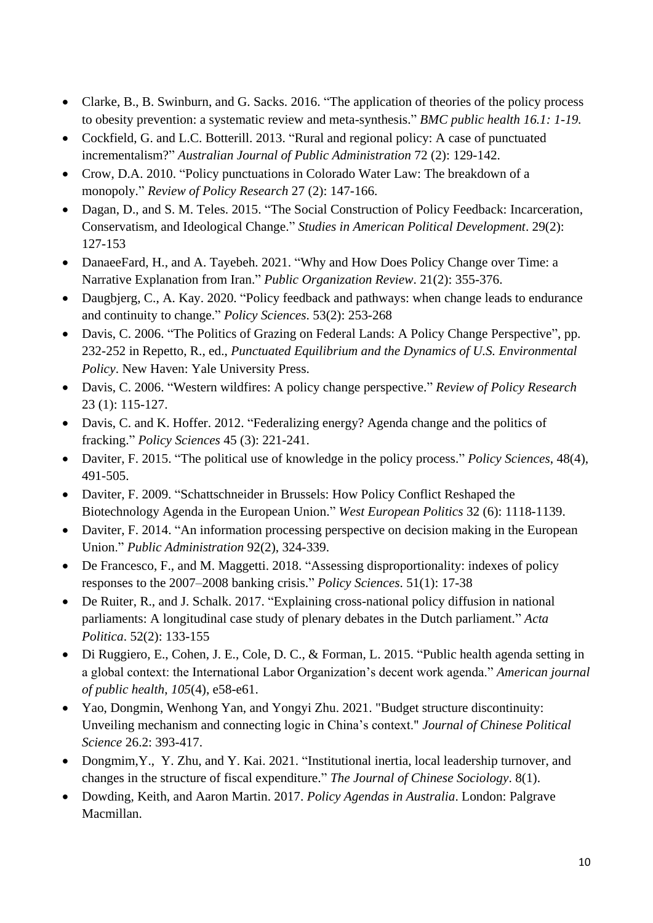- Clarke, B., B. Swinburn, and G. Sacks. 2016. "The application of theories of the policy process to obesity prevention: a systematic review and meta-synthesis." *BMC public health 16.1: 1-19.*
- Cockfield, G. and L.C. Botterill. 2013. "Rural and regional policy: A case of punctuated incrementalism?" *Australian Journal of Public Administration* 72 (2): 129-142.
- Crow, D.A. 2010. "Policy punctuations in Colorado Water Law: The breakdown of a monopoly." *Review of Policy Research* 27 (2): 147-166.
- Dagan, D., and S. M. Teles. 2015. "The Social Construction of Policy Feedback: Incarceration, Conservatism, and Ideological Change." *Studies in American Political Development*. 29(2): 127-153
- DanaeeFard, H., and A. Tayebeh. 2021. "Why and How Does Policy Change over Time: a Narrative Explanation from Iran." *Public Organization Review*. 21(2): 355-376.
- Daugbjerg, C., A. Kay. 2020. "Policy feedback and pathways: when change leads to endurance and continuity to change." *Policy Sciences*. 53(2): 253-268
- Davis, C. 2006. "The Politics of Grazing on Federal Lands: A Policy Change Perspective", pp. 232-252 in Repetto, R., ed., *Punctuated Equilibrium and the Dynamics of U.S. Environmental Policy*. New Haven: Yale University Press.
- Davis, C. 2006. "Western wildfires: A policy change perspective." *Review of Policy Research* 23 (1): 115-127.
- Davis, C. and K. Hoffer. 2012. "Federalizing energy? Agenda change and the politics of fracking." *Policy Sciences* 45 (3): 221-241.
- Daviter, F. 2015. "The political use of knowledge in the policy process." *Policy Sciences*, 48(4), 491-505.
- Daviter, F. 2009. "Schattschneider in Brussels: How Policy Conflict Reshaped the Biotechnology Agenda in the European Union." *West European Politics* 32 (6): 1118-1139.
- Daviter, F. 2014. "An information processing perspective on decision making in the European Union." *Public Administration* 92(2), 324-339.
- De Francesco, F., and M. Maggetti. 2018. "Assessing disproportionality: indexes of policy responses to the 2007–2008 banking crisis." *Policy Sciences*. 51(1): 17-38
- De Ruiter, R., and J. Schalk. 2017. "Explaining cross-national policy diffusion in national parliaments: A longitudinal case study of plenary debates in the Dutch parliament." *Acta Politica*. 52(2): 133-155
- Di Ruggiero, E., Cohen, J. E., Cole, D. C., & Forman, L. 2015. "Public health agenda setting in a global context: the International Labor Organization's decent work agenda." *American journal of public health*, *105*(4), e58-e61.
- Yao, Dongmin, Wenhong Yan, and Yongyi Zhu. 2021. "Budget structure discontinuity: Unveiling mechanism and connecting logic in China's context." *Journal of Chinese Political Science* 26.2: 393-417.
- Dongmim,Y., Y. Zhu, and Y. Kai. 2021. "Institutional inertia, local leadership turnover, and changes in the structure of fiscal expenditure." *The Journal of Chinese Sociology*. 8(1).
- Dowding, Keith, and Aaron Martin. 2017. *Policy Agendas in Australia*. London: Palgrave Macmillan.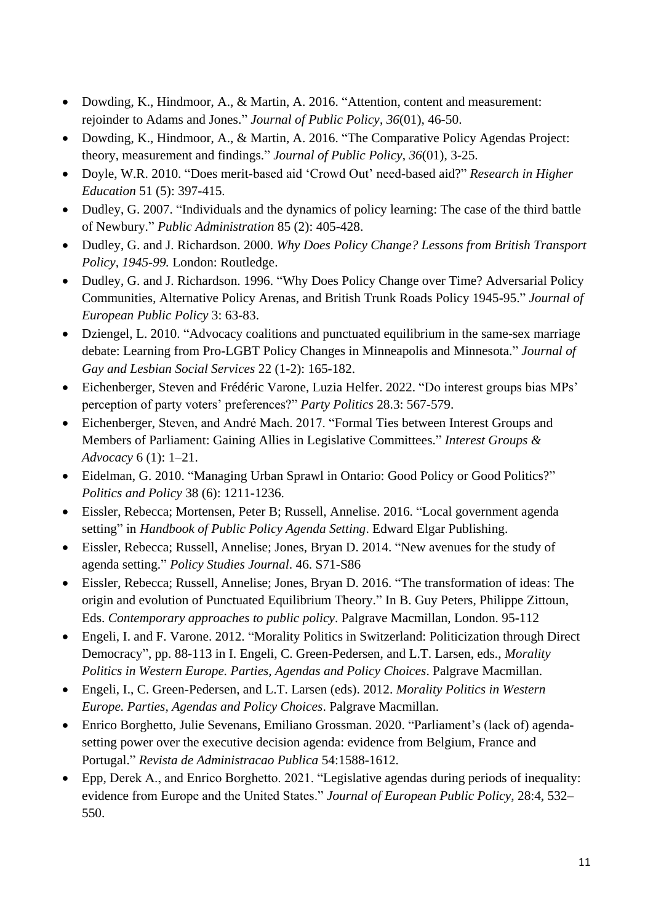- Dowding, K., Hindmoor, A., & Martin, A. 2016. "Attention, content and measurement: rejoinder to Adams and Jones." *Journal of Public Policy*, *36*(01), 46-50.
- Dowding, K., Hindmoor, A., & Martin, A. 2016. "The Comparative Policy Agendas Project: theory, measurement and findings." *Journal of Public Policy*, *36*(01), 3-25.
- Doyle, W.R. 2010. "Does merit-based aid 'Crowd Out' need-based aid?" *Research in Higher Education* 51 (5): 397-415.
- Dudley, G. 2007. "Individuals and the dynamics of policy learning: The case of the third battle of Newbury." *Public Administration* 85 (2): 405-428.
- Dudley, G. and J. Richardson. 2000. *Why Does Policy Change? Lessons from British Transport Policy, 1945-99.* London: Routledge.
- Dudley, G. and J. Richardson. 1996. "Why Does Policy Change over Time? Adversarial Policy Communities, Alternative Policy Arenas, and British Trunk Roads Policy 1945-95." *Journal of European Public Policy* 3: 63-83.
- Dziengel, L. 2010. "Advocacy coalitions and punctuated equilibrium in the same-sex marriage debate: Learning from Pro-LGBT Policy Changes in Minneapolis and Minnesota." *Journal of Gay and Lesbian Social Services* 22 (1-2): 165-182.
- Eichenberger, Steven and Frédéric Varone, Luzia Helfer. 2022. "Do interest groups bias MPs' perception of party voters' preferences?" *Party Politics* 28.3: 567-579.
- Eichenberger, Steven, and André Mach. 2017. "Formal Ties between Interest Groups and Members of Parliament: Gaining Allies in Legislative Committees." *Interest Groups & Advocacy* 6 (1): 1–21.
- Eidelman, G. 2010. "Managing Urban Sprawl in Ontario: Good Policy or Good Politics?" *Politics and Policy* 38 (6): 1211-1236.
- Eissler, Rebecca; Mortensen, Peter B; Russell, Annelise. 2016. "Local government agenda setting" in *Handbook of Public Policy Agenda Setting*. Edward Elgar Publishing.
- Eissler, Rebecca; Russell, Annelise; Jones, Bryan D. 2014. "New avenues for the study of agenda setting." *Policy Studies Journal*. 46. S71-S86
- Eissler, Rebecca; Russell, Annelise; Jones, Bryan D. 2016. "The transformation of ideas: The origin and evolution of Punctuated Equilibrium Theory." In B. Guy Peters, Philippe Zittoun, Eds. *Contemporary approaches to public policy*. Palgrave Macmillan, London. 95-112
- Engeli, I. and F. Varone. 2012. "Morality Politics in Switzerland: Politicization through Direct Democracy", pp. 88-113 in I. Engeli, C. Green-Pedersen, and L.T. Larsen, eds., *Morality Politics in Western Europe. Parties, Agendas and Policy Choices*. Palgrave Macmillan.
- Engeli, I., C. Green-Pedersen, and L.T. Larsen (eds). 2012. *Morality Politics in Western Europe. Parties, Agendas and Policy Choices*. Palgrave Macmillan.
- Enrico Borghetto, Julie Sevenans, Emiliano Grossman. 2020. "Parliament's (lack of) agendasetting power over the executive decision agenda: evidence from Belgium, France and Portugal." *Revista de Administracao Publica* 54:1588-1612.
- Epp, Derek A., and Enrico Borghetto. 2021. "Legislative agendas during periods of inequality: evidence from Europe and the United States." *Journal of European Public Policy*, 28:4, 532– 550.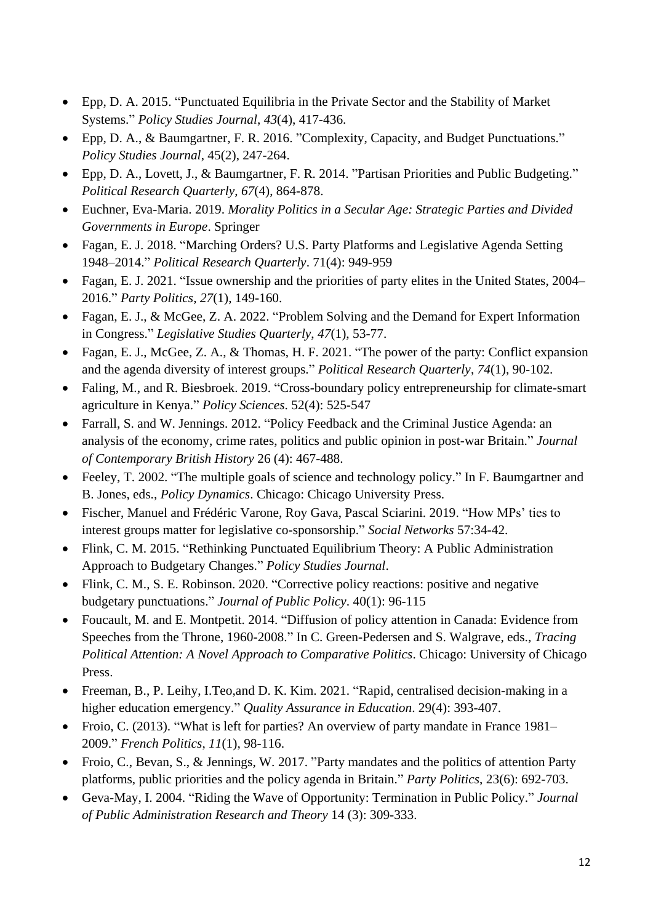- Epp, D. A. 2015. "Punctuated Equilibria in the Private Sector and the Stability of Market Systems." *Policy Studies Journal*, *43*(4), 417-436.
- Epp, D. A., & Baumgartner, F. R. 2016. "Complexity, Capacity, and Budget Punctuations." *Policy Studies Journal*, 45(2), 247-264.
- Epp, D. A., Lovett, J., & Baumgartner, F. R. 2014. "Partisan Priorities and Public Budgeting." *Political Research Quarterly*, *67*(4), 864-878.
- Euchner, Eva-Maria. 2019. *Morality Politics in a Secular Age: Strategic Parties and Divided Governments in Europe*. Springer
- Fagan, E. J. 2018. "Marching Orders? U.S. Party Platforms and Legislative Agenda Setting 1948–2014." *Political Research Quarterly*. 71(4): 949-959
- Fagan, E. J. 2021. "Issue ownership and the priorities of party elites in the United States, 2004– 2016." *Party Politics*, *27*(1), 149-160.
- Fagan, E. J., & McGee, Z. A. 2022. "Problem Solving and the Demand for Expert Information in Congress." *Legislative Studies Quarterly*, *47*(1), 53-77.
- Fagan, E. J., McGee, Z. A., & Thomas, H. F. 2021. "The power of the party: Conflict expansion and the agenda diversity of interest groups." *Political Research Quarterly*, *74*(1), 90-102.
- Faling, M., and R. Biesbroek. 2019. "Cross-boundary policy entrepreneurship for climate-smart agriculture in Kenya." *Policy Sciences*. 52(4): 525-547
- Farrall, S. and W. Jennings. 2012. "Policy Feedback and the Criminal Justice Agenda: an analysis of the economy, crime rates, politics and public opinion in post-war Britain." *Journal of Contemporary British History* 26 (4): 467-488.
- Feeley, T. 2002. "The multiple goals of science and technology policy." In F. Baumgartner and B. Jones, eds., *Policy Dynamics*. Chicago: Chicago University Press.
- Fischer, Manuel and Frédéric Varone, Roy Gava, Pascal Sciarini. 2019. "How MPs' ties to interest groups matter for legislative co-sponsorship." *Social Networks* 57:34-42.
- Flink, C. M. 2015. "Rethinking Punctuated Equilibrium Theory: A Public Administration Approach to Budgetary Changes." *Policy Studies Journal*.
- Flink, C. M., S. E. Robinson. 2020. "Corrective policy reactions: positive and negative budgetary punctuations." *Journal of Public Policy*. 40(1): 96-115
- Foucault, M. and E. Montpetit. 2014. "Diffusion of policy attention in Canada: Evidence from Speeches from the Throne, 1960-2008." In C. Green-Pedersen and S. Walgrave, eds., *Tracing Political Attention: A Novel Approach to Comparative Politics*. Chicago: University of Chicago Press.
- Freeman, B., P. Leihy, I.Teo,and D. K. Kim. 2021. "Rapid, centralised decision-making in a higher education emergency." *Quality Assurance in Education*. 29(4): 393-407.
- Froio, C. (2013). "What is left for parties? An overview of party mandate in France 1981– 2009." *French Politics*, *11*(1), 98-116.
- Froio, C., Bevan, S., & Jennings, W. 2017. "Party mandates and the politics of attention Party platforms, public priorities and the policy agenda in Britain." *Party Politics*, 23(6): 692-703.
- Geva-May, I. 2004. "Riding the Wave of Opportunity: Termination in Public Policy." *Journal of Public Administration Research and Theory* 14 (3): 309-333.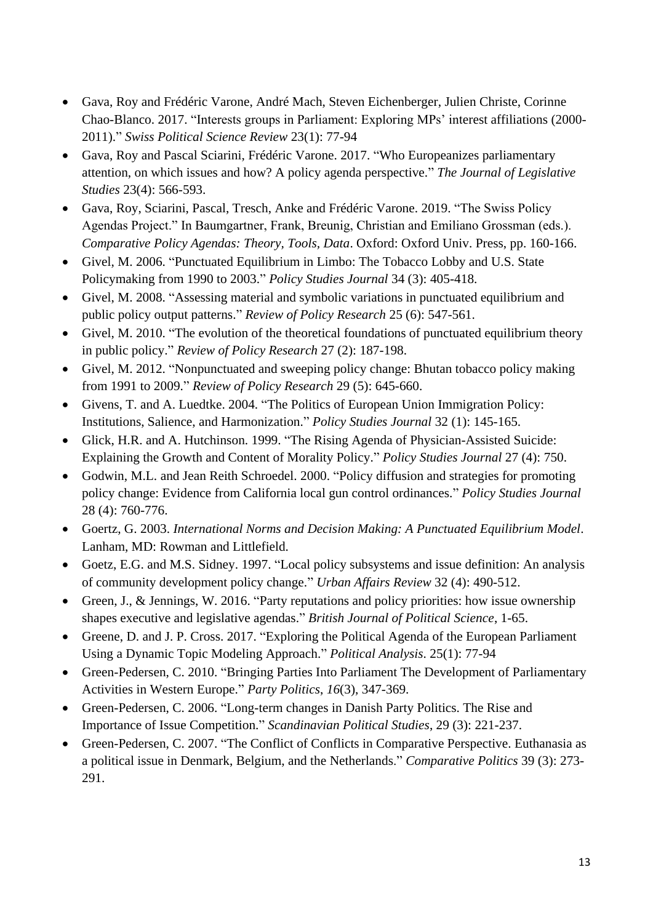- Gava, Roy and Frédéric Varone, André Mach, Steven Eichenberger, Julien Christe, Corinne Chao-Blanco. 2017. "Interests groups in Parliament: Exploring MPs' interest affiliations (2000- 2011)." *Swiss Political Science Review* 23(1): 77-94
- Gava, Roy and Pascal Sciarini, Frédéric Varone. 2017. "Who Europeanizes parliamentary attention, on which issues and how? A policy agenda perspective." *The Journal of Legislative Studies* 23(4): 566-593.
- Gava, Roy, Sciarini, Pascal, Tresch, Anke and Frédéric Varone. 2019. "The Swiss Policy Agendas Project." In Baumgartner, Frank, Breunig, Christian and Emiliano Grossman (eds.). *Comparative Policy Agendas: Theory, Tools, Data*. Oxford: Oxford Univ. Press, pp. 160-166.
- Givel, M. 2006. "Punctuated Equilibrium in Limbo: The Tobacco Lobby and U.S. State Policymaking from 1990 to 2003." *Policy Studies Journal* 34 (3): 405-418.
- Givel, M. 2008. "Assessing material and symbolic variations in punctuated equilibrium and public policy output patterns." *Review of Policy Research* 25 (6): 547-561.
- Givel, M. 2010. "The evolution of the theoretical foundations of punctuated equilibrium theory in public policy." *Review of Policy Research* 27 (2): 187-198.
- Givel, M. 2012. "Nonpunctuated and sweeping policy change: Bhutan tobacco policy making from 1991 to 2009." *Review of Policy Research* 29 (5): 645-660.
- Givens, T. and A. Luedtke. 2004. "The Politics of European Union Immigration Policy: Institutions, Salience, and Harmonization." *Policy Studies Journal* 32 (1): 145-165.
- Glick, H.R. and A. Hutchinson. 1999. "The Rising Agenda of Physician-Assisted Suicide: Explaining the Growth and Content of Morality Policy." *Policy Studies Journal* 27 (4): 750.
- Godwin, M.L. and Jean Reith Schroedel. 2000. "Policy diffusion and strategies for promoting policy change: Evidence from California local gun control ordinances." *Policy Studies Journal* 28 (4): 760-776.
- Goertz, G. 2003. *International Norms and Decision Making: A Punctuated Equilibrium Model*. Lanham, MD: Rowman and Littlefield.
- Goetz, E.G. and M.S. Sidney. 1997. "Local policy subsystems and issue definition: An analysis of community development policy change." *Urban Affairs Review* 32 (4): 490-512.
- Green, J., & Jennings, W. 2016. "Party reputations and policy priorities: how issue ownership shapes executive and legislative agendas." *British Journal of Political Science*, 1-65.
- Greene, D. and J. P. Cross. 2017. "Exploring the Political Agenda of the European Parliament Using a Dynamic Topic Modeling Approach." *Political Analysis*. 25(1): 77-94
- Green-Pedersen, C. 2010. "Bringing Parties Into Parliament The Development of Parliamentary Activities in Western Europe." *Party Politics*, *16*(3), 347-369.
- Green-Pedersen, C. 2006. "Long-term changes in Danish Party Politics. The Rise and Importance of Issue Competition." *Scandinavian Political Studies*, 29 (3): 221-237.
- Green-Pedersen, C. 2007. "The Conflict of Conflicts in Comparative Perspective. Euthanasia as a political issue in Denmark, Belgium, and the Netherlands." *Comparative Politics* 39 (3): 273- 291.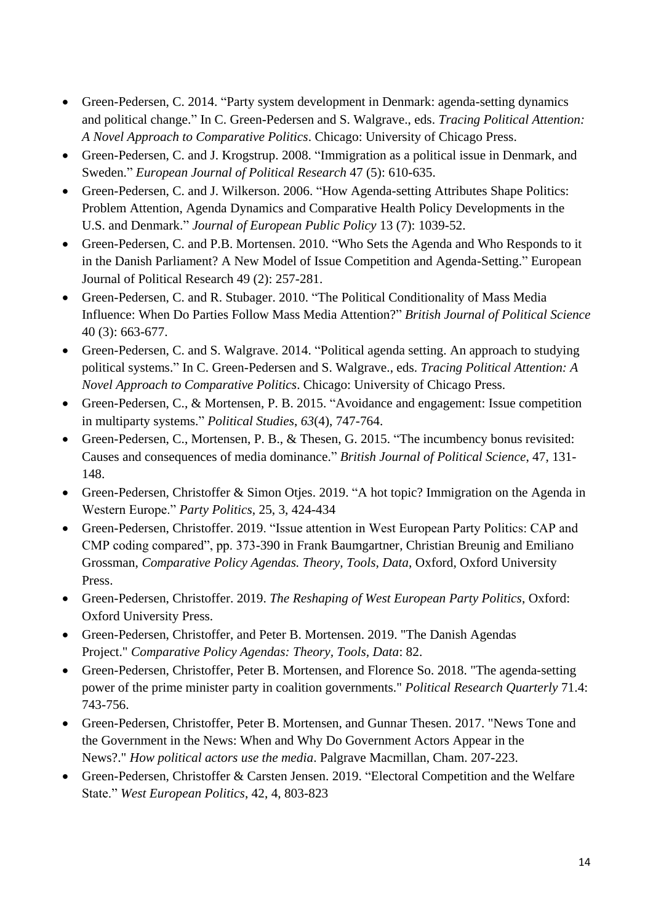- Green-Pedersen, C. 2014. "Party system development in Denmark: agenda-setting dynamics and political change." In C. Green-Pedersen and S. Walgrave., eds. *Tracing Political Attention: A Novel Approach to Comparative Politics*. Chicago: University of Chicago Press.
- Green-Pedersen, C. and J. Krogstrup. 2008. "Immigration as a political issue in Denmark, and Sweden." *European Journal of Political Research* 47 (5): 610-635.
- Green-Pedersen, C. and J. Wilkerson. 2006. "How Agenda-setting Attributes Shape Politics: Problem Attention, Agenda Dynamics and Comparative Health Policy Developments in the U.S. and Denmark." *Journal of European Public Policy* 13 (7): 1039-52.
- Green-Pedersen, C. and P.B. Mortensen. 2010. "Who Sets the Agenda and Who Responds to it in the Danish Parliament? A New Model of Issue Competition and Agenda-Setting." European Journal of Political Research 49 (2): 257-281.
- Green-Pedersen, C. and R. Stubager. 2010. "The Political Conditionality of Mass Media Influence: When Do Parties Follow Mass Media Attention?" *British Journal of Political Science*  40 (3): 663-677.
- Green-Pedersen, C. and S. Walgrave. 2014. "Political agenda setting. An approach to studying political systems." In C. Green-Pedersen and S. Walgrave., eds. *Tracing Political Attention: A Novel Approach to Comparative Politics*. Chicago: University of Chicago Press.
- Green-Pedersen, C., & Mortensen, P. B. 2015. "Avoidance and engagement: Issue competition in multiparty systems." *Political Studies*, *63*(4), 747-764.
- Green-Pedersen, C., Mortensen, P. B., & Thesen, G. 2015. "The incumbency bonus revisited: Causes and consequences of media dominance." *British Journal of Political Science*, 47, 131- 148.
- Green-Pedersen, Christoffer & Simon Otjes. 2019. "A hot topic? Immigration on the Agenda in Western Europe." *Party Politics*, 25, 3, 424-434
- Green-Pedersen, Christoffer. 2019. "Issue attention in West European Party Politics: CAP and CMP coding compared", pp. 373-390 in Frank Baumgartner, Christian Breunig and Emiliano Grossman, *Comparative Policy Agendas. Theory, Tools, Data*, Oxford, Oxford University Press.
- Green-Pedersen, Christoffer. 2019. *The Reshaping of West European Party Politics*, Oxford: Oxford University Press.
- Green-Pedersen, Christoffer, and Peter B. Mortensen. 2019. "The Danish Agendas Project." *Comparative Policy Agendas: Theory, Tools, Data*: 82.
- Green-Pedersen, Christoffer, Peter B. Mortensen, and Florence So. 2018. "The agenda-setting power of the prime minister party in coalition governments." *Political Research Quarterly* 71.4: 743-756.
- Green-Pedersen, Christoffer, Peter B. Mortensen, and Gunnar Thesen. 2017. "News Tone and the Government in the News: When and Why Do Government Actors Appear in the News?." *How political actors use the media*. Palgrave Macmillan, Cham. 207-223.
- Green-Pedersen, Christoffer & Carsten Jensen. 2019. "Electoral Competition and the Welfare State." *West European Politics*, 42, 4, 803-823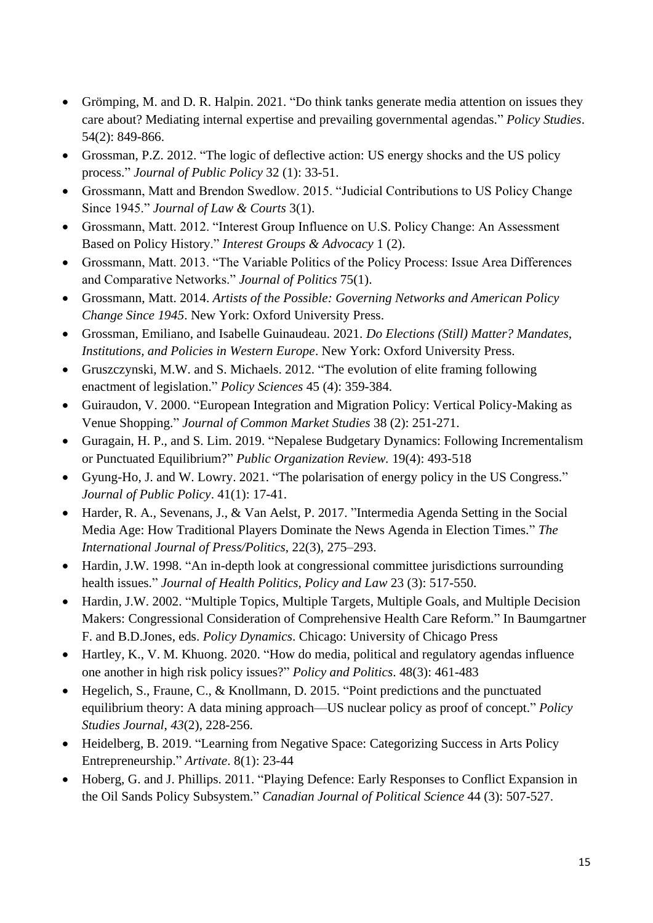- Grömping, M. and D. R. Halpin. 2021. "Do think tanks generate media attention on issues they care about? Mediating internal expertise and prevailing governmental agendas." *Policy Studies*. 54(2): 849-866.
- Grossman, P.Z. 2012. "The logic of deflective action: US energy shocks and the US policy process." *Journal of Public Policy* 32 (1): 33-51.
- Grossmann, Matt and Brendon Swedlow. 2015. "Judicial Contributions to US Policy Change Since 1945." *Journal of Law & Courts* 3(1).
- Grossmann, Matt. 2012. "Interest Group Influence on U.S. Policy Change: An Assessment Based on Policy History." *Interest Groups & Advocacy* 1 (2).
- Grossmann, Matt. 2013. "The Variable Politics of the Policy Process: Issue Area Differences and Comparative Networks." *Journal of Politics* 75(1).
- Grossmann, Matt. 2014. *Artists of the Possible: Governing Networks and American Policy Change Since 1945*. New York: Oxford University Press.
- Grossman, Emiliano, and Isabelle Guinaudeau. 2021. *Do Elections (Still) Matter? Mandates, Institutions, and Policies in Western Europe*. New York: Oxford University Press.
- Gruszczynski, M.W. and S. Michaels. 2012. "The evolution of elite framing following enactment of legislation." *Policy Sciences* 45 (4): 359-384.
- Guiraudon, V. 2000. "European Integration and Migration Policy: Vertical Policy-Making as Venue Shopping." *Journal of Common Market Studies* 38 (2): 251-271.
- Guragain, H. P., and S. Lim. 2019. "Nepalese Budgetary Dynamics: Following Incrementalism or Punctuated Equilibrium?" *Public Organization Review.* 19(4): 493-518
- Gyung-Ho, J. and W. Lowry. 2021. "The polarisation of energy policy in the US Congress." *Journal of Public Policy*. 41(1): 17-41.
- Harder, R. A., Sevenans, J., & Van Aelst, P. 2017. "Intermedia Agenda Setting in the Social Media Age: How Traditional Players Dominate the News Agenda in Election Times." *The International Journal of Press/Politics*, 22(3), 275–293.
- Hardin, J.W. 1998. "An in-depth look at congressional committee jurisdictions surrounding health issues." *Journal of Health Politics, Policy and Law* 23 (3): 517-550.
- Hardin, J.W. 2002. "Multiple Topics, Multiple Targets, Multiple Goals, and Multiple Decision Makers: Congressional Consideration of Comprehensive Health Care Reform." In Baumgartner F. and B.D.Jones, eds. *Policy Dynamics*. Chicago: University of Chicago Press
- Hartley, K., V. M. Khuong. 2020. "How do media, political and regulatory agendas influence one another in high risk policy issues?" *Policy and Politics*. 48(3): 461-483
- Hegelich, S., Fraune, C., & Knollmann, D. 2015. "Point predictions and the punctuated equilibrium theory: A data mining approach—US nuclear policy as proof of concept." *Policy Studies Journal*, *43*(2), 228-256.
- Heidelberg, B. 2019. "Learning from Negative Space: Categorizing Success in Arts Policy Entrepreneurship." *Artivate*. 8(1): 23-44
- Hoberg, G. and J. Phillips. 2011. "Playing Defence: Early Responses to Conflict Expansion in the Oil Sands Policy Subsystem." *Canadian Journal of Political Science* 44 (3): 507-527.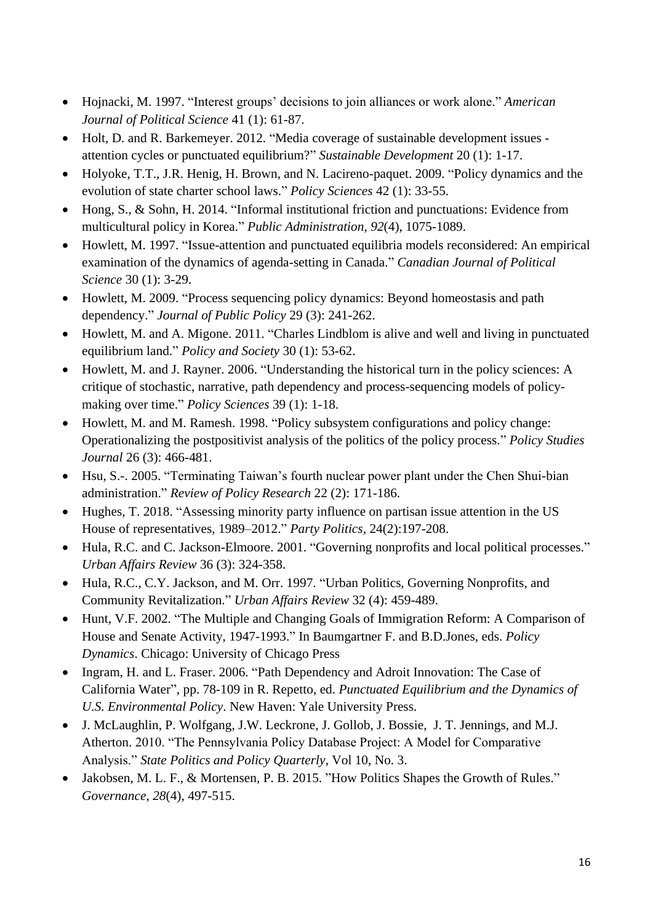- Hojnacki, M. 1997. "Interest groups' decisions to join alliances or work alone." *American Journal of Political Science* 41 (1): 61-87.
- Holt, D. and R. Barkemeyer. 2012. "Media coverage of sustainable development issues attention cycles or punctuated equilibrium?" *Sustainable Development* 20 (1): 1-17.
- Holyoke, T.T., J.R. Henig, H. Brown, and N. Lacireno-paquet. 2009. "Policy dynamics and the evolution of state charter school laws." *Policy Sciences* 42 (1): 33-55.
- Hong, S., & Sohn, H. 2014. "Informal institutional friction and punctuations: Evidence from multicultural policy in Korea." *Public Administration*, *92*(4), 1075-1089.
- Howlett, M. 1997. "Issue-attention and punctuated equilibria models reconsidered: An empirical examination of the dynamics of agenda-setting in Canada." *Canadian Journal of Political Science* 30 (1): 3-29.
- Howlett, M. 2009. "Process sequencing policy dynamics: Beyond homeostasis and path dependency." *Journal of Public Policy* 29 (3): 241-262.
- Howlett, M. and A. Migone. 2011. "Charles Lindblom is alive and well and living in punctuated equilibrium land." *Policy and Society* 30 (1): 53-62.
- Howlett, M. and J. Rayner. 2006. "Understanding the historical turn in the policy sciences: A critique of stochastic, narrative, path dependency and process-sequencing models of policymaking over time." *Policy Sciences* 39 (1): 1-18.
- Howlett, M. and M. Ramesh. 1998. "Policy subsystem configurations and policy change: Operationalizing the postpositivist analysis of the politics of the policy process." *Policy Studies Journal* 26 (3): 466-481.
- Hsu, S.-. 2005. "Terminating Taiwan's fourth nuclear power plant under the Chen Shui-bian administration." *Review of Policy Research* 22 (2): 171-186.
- Hughes, T. 2018. "Assessing minority party influence on partisan issue attention in the US House of representatives, 1989–2012." *Party Politics*, 24(2):197-208.
- Hula, R.C. and C. Jackson-Elmoore. 2001. "Governing nonprofits and local political processes." *Urban Affairs Review* 36 (3): 324-358.
- Hula, R.C., C.Y. Jackson, and M. Orr. 1997. "Urban Politics, Governing Nonprofits, and Community Revitalization." *Urban Affairs Review* 32 (4): 459-489.
- Hunt, V.F. 2002. "The Multiple and Changing Goals of Immigration Reform: A Comparison of House and Senate Activity, 1947-1993." In Baumgartner F. and B.D.Jones, eds. *Policy Dynamics*. Chicago: University of Chicago Press
- Ingram, H. and L. Fraser. 2006. "Path Dependency and Adroit Innovation: The Case of California Water", pp. 78-109 in R. Repetto, ed. *Punctuated Equilibrium and the Dynamics of U.S. Environmental Policy*. New Haven: Yale University Press.
- J. McLaughlin, P. Wolfgang, J.W. Leckrone, J. Gollob, J. Bossie, J. T. Jennings, and M.J. Atherton. 2010. "The Pennsylvania Policy Database Project: A Model for Comparative Analysis." *State Politics and Policy Quarterly*, Vol 10, No. 3.
- Jakobsen, M. L. F., & Mortensen, P. B. 2015. "How Politics Shapes the Growth of Rules." *Governance*, *28*(4), 497-515.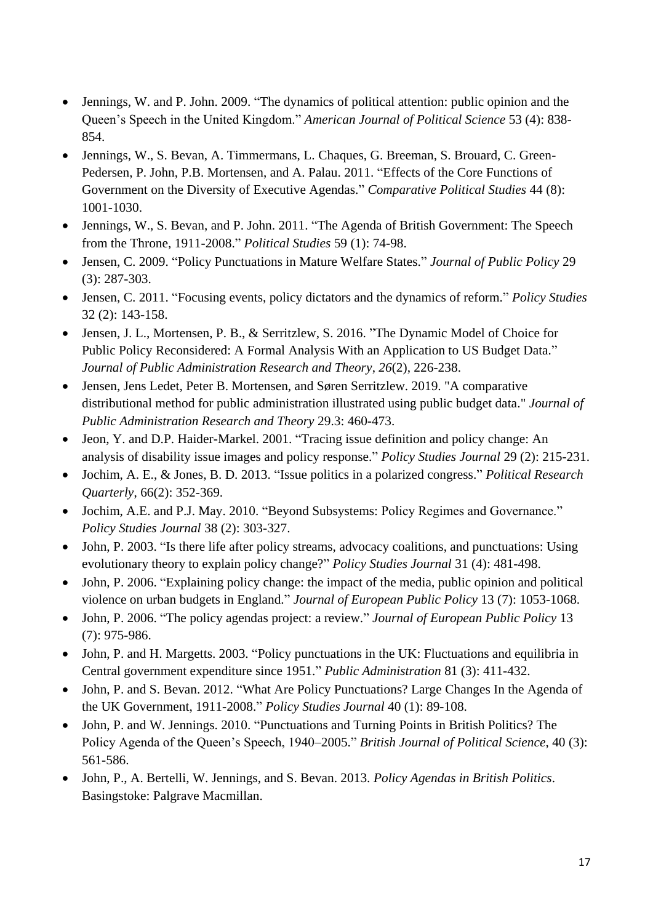- Jennings, W. and P. John. 2009. "The dynamics of political attention: public opinion and the Queen's Speech in the United Kingdom." *American Journal of Political Science* 53 (4): 838- 854.
- Jennings, W., S. Bevan, A. Timmermans, L. Chaques, G. Breeman, S. Brouard, C. Green-Pedersen, P. John, P.B. Mortensen, and A. Palau. 2011. "Effects of the Core Functions of Government on the Diversity of Executive Agendas." *Comparative Political Studies* 44 (8): 1001-1030.
- Jennings, W., S. Bevan, and P. John. 2011. "The Agenda of British Government: The Speech from the Throne, 1911-2008." *Political Studies* 59 (1): 74-98.
- Jensen, C. 2009. "Policy Punctuations in Mature Welfare States." *Journal of Public Policy* 29 (3): 287-303.
- Jensen, C. 2011. "Focusing events, policy dictators and the dynamics of reform." *Policy Studies* 32 (2): 143-158.
- Jensen, J. L., Mortensen, P. B., & Serritzlew, S. 2016. "The Dynamic Model of Choice for Public Policy Reconsidered: A Formal Analysis With an Application to US Budget Data." *Journal of Public Administration Research and Theory*, *26*(2), 226-238.
- Jensen, Jens Ledet, Peter B. Mortensen, and Søren Serritzlew. 2019. "A comparative distributional method for public administration illustrated using public budget data." *Journal of Public Administration Research and Theory* 29.3: 460-473.
- Jeon, Y. and D.P. Haider-Markel. 2001. "Tracing issue definition and policy change: An analysis of disability issue images and policy response." *Policy Studies Journal* 29 (2): 215-231.
- Jochim, A. E., & Jones, B. D. 2013. "Issue politics in a polarized congress." *Political Research Quarterly*, 66(2): 352-369.
- Jochim, A.E. and P.J. May. 2010. "Beyond Subsystems: Policy Regimes and Governance." *Policy Studies Journal* 38 (2): 303-327.
- John, P. 2003. "Is there life after policy streams, advocacy coalitions, and punctuations: Using evolutionary theory to explain policy change?" *Policy Studies Journal* 31 (4): 481-498.
- John, P. 2006. "Explaining policy change: the impact of the media, public opinion and political violence on urban budgets in England." *Journal of European Public Policy* 13 (7): 1053-1068.
- John, P. 2006. "The policy agendas project: a review." *Journal of European Public Policy* 13 (7): 975-986.
- John, P. and H. Margetts. 2003. "Policy punctuations in the UK: Fluctuations and equilibria in Central government expenditure since 1951." *Public Administration* 81 (3): 411-432.
- John, P. and S. Bevan. 2012. "What Are Policy Punctuations? Large Changes In the Agenda of the UK Government, 1911-2008." *Policy Studies Journal* 40 (1): 89-108.
- John, P. and W. Jennings. 2010. "Punctuations and Turning Points in British Politics? The Policy Agenda of the Queen's Speech, 1940–2005." *British Journal of Political Science*, 40 (3): 561-586.
- John, P., A. Bertelli, W. Jennings, and S. Bevan. 2013. *Policy Agendas in British Politics*. Basingstoke: Palgrave Macmillan.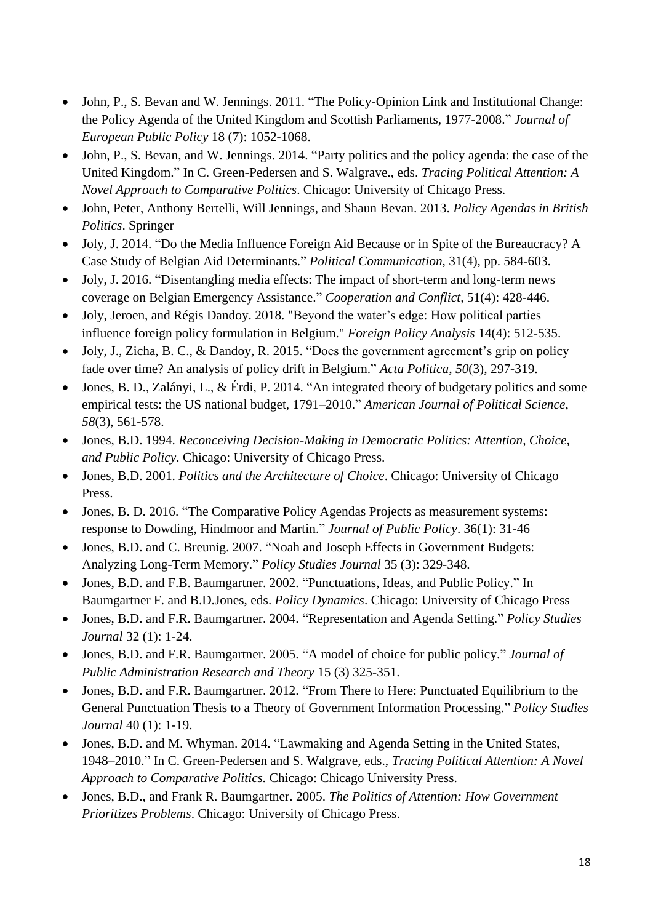- John, P., S. Bevan and W. Jennings. 2011. "The Policy-Opinion Link and Institutional Change: the Policy Agenda of the United Kingdom and Scottish Parliaments, 1977-2008." *Journal of European Public Policy* 18 (7): 1052-1068.
- John, P., S. Bevan, and W. Jennings. 2014. "Party politics and the policy agenda: the case of the United Kingdom." In C. Green-Pedersen and S. Walgrave., eds. *Tracing Political Attention: A Novel Approach to Comparative Politics*. Chicago: University of Chicago Press.
- John, Peter, Anthony Bertelli, Will Jennings, and Shaun Bevan. 2013. *Policy Agendas in British Politics*. Springer
- Joly, J. 2014. "Do the Media Influence Foreign Aid Because or in Spite of the Bureaucracy? A Case Study of Belgian Aid Determinants." *Political Communication*, 31(4), pp. 584-603.
- Joly, J. 2016. "Disentangling media effects: The impact of short-term and long-term news coverage on Belgian Emergency Assistance." *Cooperation and Conflict,* 51(4): 428-446.
- Joly, Jeroen, and Régis Dandoy. 2018. "Beyond the water's edge: How political parties influence foreign policy formulation in Belgium." *Foreign Policy Analysis* 14(4): 512-535.
- Joly, J., Zicha, B. C., & Dandoy, R. 2015. "Does the government agreement's grip on policy fade over time? An analysis of policy drift in Belgium." *Acta Politica*, *50*(3), 297-319.
- Jones, B. D., Zalányi, L., & Érdi, P. 2014. "An integrated theory of budgetary politics and some empirical tests: the US national budget, 1791–2010." *American Journal of Political Science*, *58*(3), 561-578.
- Jones, B.D. 1994. *Reconceiving Decision-Making in Democratic Politics: Attention, Choice, and Public Policy*. Chicago: University of Chicago Press.
- Jones, B.D. 2001. *Politics and the Architecture of Choice*. Chicago: University of Chicago Press.
- Jones, B. D. 2016. "The Comparative Policy Agendas Projects as measurement systems: response to Dowding, Hindmoor and Martin." *Journal of Public Policy*. 36(1): 31-46
- Jones, B.D. and C. Breunig. 2007. "Noah and Joseph Effects in Government Budgets: Analyzing Long-Term Memory." *Policy Studies Journal* 35 (3): 329-348.
- Jones, B.D. and F.B. Baumgartner. 2002. "Punctuations, Ideas, and Public Policy." In Baumgartner F. and B.D.Jones, eds. *Policy Dynamics*. Chicago: University of Chicago Press
- Jones, B.D. and F.R. Baumgartner. 2004. "Representation and Agenda Setting." *Policy Studies Journal* 32 (1): 1-24.
- Jones, B.D. and F.R. Baumgartner. 2005. "A model of choice for public policy." *Journal of Public Administration Research and Theory* 15 (3) 325-351.
- Jones, B.D. and F.R. Baumgartner. 2012. "From There to Here: Punctuated Equilibrium to the General Punctuation Thesis to a Theory of Government Information Processing." *Policy Studies Journal* 40 (1): 1-19.
- Jones, B.D. and M. Whyman. 2014. "Lawmaking and Agenda Setting in the United States, 1948–2010." In C. Green-Pedersen and S. Walgrave, eds., *Tracing Political Attention: A Novel Approach to Comparative Politics.* Chicago: Chicago University Press.
- Jones, B.D., and Frank R. Baumgartner. 2005. *The Politics of Attention: How Government Prioritizes Problems*. Chicago: University of Chicago Press.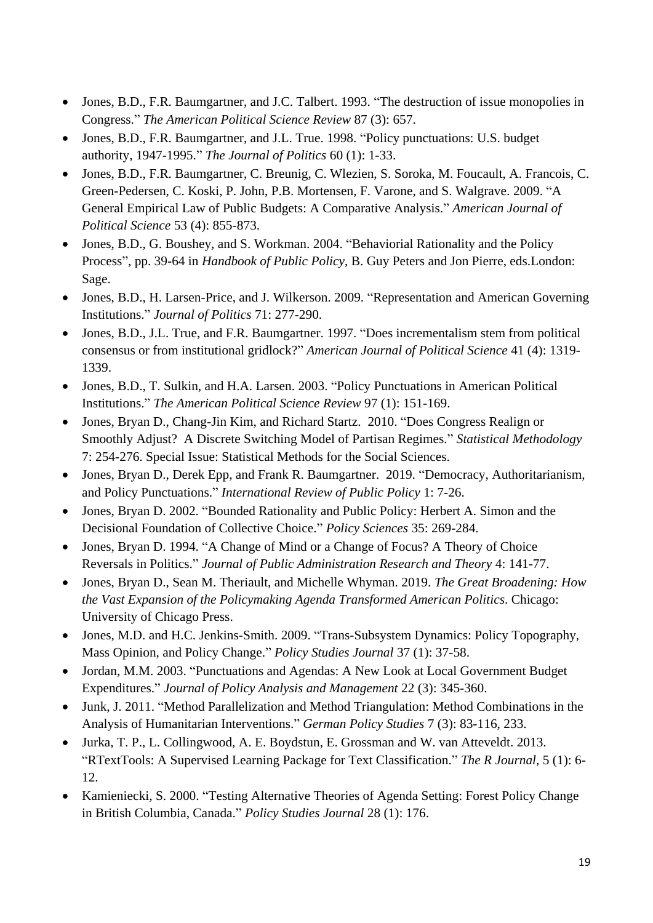- Jones, B.D., F.R. Baumgartner, and J.C. Talbert. 1993. "The destruction of issue monopolies in Congress." *The American Political Science Review* 87 (3): 657.
- Jones, B.D., F.R. Baumgartner, and J.L. True. 1998. "Policy punctuations: U.S. budget authority, 1947-1995." *The Journal of Politics* 60 (1): 1-33.
- Jones, B.D., F.R. Baumgartner, C. Breunig, C. Wlezien, S. Soroka, M. Foucault, A. Francois, C. Green-Pedersen, C. Koski, P. John, P.B. Mortensen, F. Varone, and S. Walgrave. 2009. "A General Empirical Law of Public Budgets: A Comparative Analysis." *American Journal of Political Science* 53 (4): 855-873.
- Jones, B.D., G. Boushey, and S. Workman. 2004. "Behaviorial Rationality and the Policy Process", pp. 39-64 in *Handbook of Public Policy*, B. Guy Peters and Jon Pierre, eds.London: Sage.
- Jones, B.D., H. Larsen-Price, and J. Wilkerson. 2009. "Representation and American Governing Institutions." *Journal of Politics* 71: 277-290.
- Jones, B.D., J.L. True, and F.R. Baumgartner. 1997. "Does incrementalism stem from political consensus or from institutional gridlock?" *American Journal of Political Science* 41 (4): 1319- 1339.
- Jones, B.D., T. Sulkin, and H.A. Larsen. 2003. "Policy Punctuations in American Political Institutions." *The American Political Science Review* 97 (1): 151-169.
- Jones, Bryan D., Chang-Jin Kim, and Richard Startz. 2010. "Does Congress Realign or Smoothly Adjust? A Discrete Switching Model of Partisan Regimes." *Statistical Methodology*  7: 254-276. Special Issue: Statistical Methods for the Social Sciences.
- Jones, Bryan D., Derek Epp, and Frank R. Baumgartner. 2019. "Democracy, Authoritarianism, and Policy Punctuations." *International Review of Public Policy* 1: 7-26.
- Jones, Bryan D. 2002. "Bounded Rationality and Public Policy: Herbert A. Simon and the Decisional Foundation of Collective Choice." *Policy Sciences* 35: 269-284.
- Jones, Bryan D. 1994. "A Change of Mind or a Change of Focus? A Theory of Choice Reversals in Politics." *Journal of Public Administration Research and Theory* 4: 141-77.
- Jones, Bryan D., Sean M. Theriault, and Michelle Whyman. 2019. *The Great Broadening: How the Vast Expansion of the Policymaking Agenda Transformed American Politics*. Chicago: University of Chicago Press.
- Jones, M.D. and H.C. Jenkins-Smith. 2009. "Trans-Subsystem Dynamics: Policy Topography, Mass Opinion, and Policy Change." *Policy Studies Journal* 37 (1): 37-58.
- Jordan, M.M. 2003. "Punctuations and Agendas: A New Look at Local Government Budget Expenditures." *Journal of Policy Analysis and Management* 22 (3): 345-360.
- Junk, J. 2011. "Method Parallelization and Method Triangulation: Method Combinations in the Analysis of Humanitarian Interventions." *German Policy Studies* 7 (3): 83-116, 233.
- Jurka, T. P., L. Collingwood, A. E. Boydstun, E. Grossman and W. van Atteveldt. 2013. "RTextTools: A Supervised Learning Package for Text Classification." *The R Journal*, 5 (1): 6- 12.
- Kamieniecki, S. 2000. "Testing Alternative Theories of Agenda Setting: Forest Policy Change in British Columbia, Canada." *Policy Studies Journal* 28 (1): 176.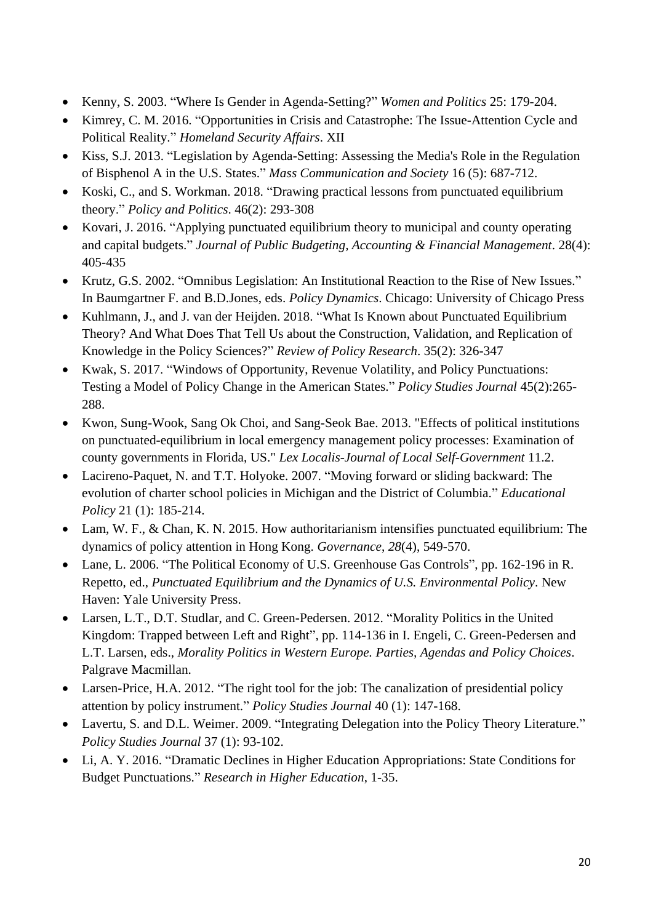- Kenny, S. 2003. "Where Is Gender in Agenda-Setting?" *Women and Politics* 25: 179-204.
- Kimrey, C. M. 2016. "Opportunities in Crisis and Catastrophe: The Issue-Attention Cycle and Political Reality." *Homeland Security Affairs*. XII
- Kiss, S.J. 2013. "Legislation by Agenda-Setting: Assessing the Media's Role in the Regulation of Bisphenol A in the U.S. States." *Mass Communication and Society* 16 (5): 687-712.
- Koski, C., and S. Workman. 2018. "Drawing practical lessons from punctuated equilibrium theory." *Policy and Politics*. 46(2): 293-308
- Kovari, J. 2016. "Applying punctuated equilibrium theory to municipal and county operating and capital budgets." *Journal of Public Budgeting, Accounting & Financial Management*. 28(4): 405-435
- Krutz, G.S. 2002. "Omnibus Legislation: An Institutional Reaction to the Rise of New Issues." In Baumgartner F. and B.D.Jones, eds. *Policy Dynamics*. Chicago: University of Chicago Press
- Kuhlmann, J., and J. van der Heijden. 2018. "What Is Known about Punctuated Equilibrium Theory? And What Does That Tell Us about the Construction, Validation, and Replication of Knowledge in the Policy Sciences?" *Review of Policy Research*. 35(2): 326-347
- Kwak, S. 2017. "Windows of Opportunity, Revenue Volatility, and Policy Punctuations: Testing a Model of Policy Change in the American States." *Policy Studies Journal* 45(2):265- 288.
- Kwon, Sung-Wook, Sang Ok Choi, and Sang-Seok Bae. 2013. "Effects of political institutions on punctuated-equilibrium in local emergency management policy processes: Examination of county governments in Florida, US." *Lex Localis-Journal of Local Self-Government* 11.2.
- Lacireno-Paquet, N. and T.T. Holyoke. 2007. "Moving forward or sliding backward: The evolution of charter school policies in Michigan and the District of Columbia." *Educational Policy* 21 (1): 185-214.
- Lam, W. F., & Chan, K. N. 2015. How authoritarianism intensifies punctuated equilibrium: The dynamics of policy attention in Hong Kong. *Governance*, *28*(4), 549-570.
- Lane, L. 2006. "The Political Economy of U.S. Greenhouse Gas Controls", pp. 162-196 in R. Repetto, ed., *Punctuated Equilibrium and the Dynamics of U.S. Environmental Policy*. New Haven: Yale University Press.
- Larsen, L.T., D.T. Studlar, and C. Green-Pedersen. 2012. "Morality Politics in the United Kingdom: Trapped between Left and Right", pp. 114-136 in I. Engeli, C. Green-Pedersen and L.T. Larsen, eds., *Morality Politics in Western Europe. Parties, Agendas and Policy Choices*. Palgrave Macmillan.
- Larsen-Price, H.A. 2012. "The right tool for the job: The canalization of presidential policy attention by policy instrument." *Policy Studies Journal* 40 (1): 147-168.
- Lavertu, S. and D.L. Weimer. 2009. "Integrating Delegation into the Policy Theory Literature." *Policy Studies Journal* 37 (1): 93-102.
- Li, A. Y. 2016. "Dramatic Declines in Higher Education Appropriations: State Conditions for Budget Punctuations." *Research in Higher Education*, 1-35.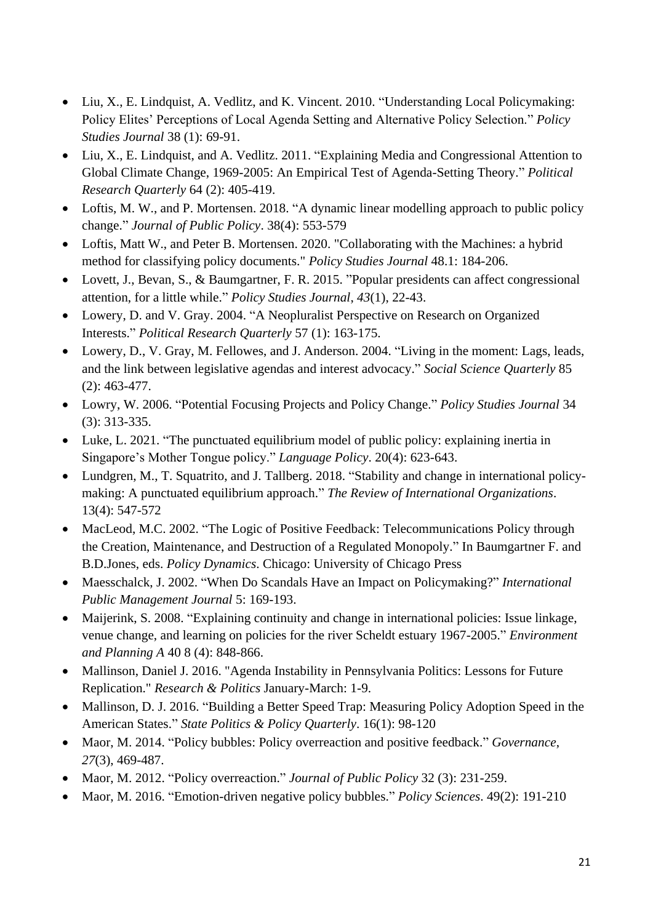- Liu, X., E. Lindquist, A. Vedlitz, and K. Vincent. 2010. "Understanding Local Policymaking: Policy Elites' Perceptions of Local Agenda Setting and Alternative Policy Selection." *Policy Studies Journal* 38 (1): 69-91.
- Liu, X., E. Lindquist, and A. Vedlitz. 2011. "Explaining Media and Congressional Attention to Global Climate Change, 1969-2005: An Empirical Test of Agenda-Setting Theory." *Political Research Quarterly* 64 (2): 405-419.
- Loftis, M. W., and P. Mortensen. 2018. "A dynamic linear modelling approach to public policy change." *Journal of Public Policy*. 38(4): 553-579
- Loftis, Matt W., and Peter B. Mortensen. 2020. "Collaborating with the Machines: a hybrid method for classifying policy documents." *Policy Studies Journal* 48.1: 184-206.
- Lovett, J., Bevan, S., & Baumgartner, F. R. 2015. "Popular presidents can affect congressional attention, for a little while." *Policy Studies Journal*, *43*(1), 22-43.
- Lowery, D. and V. Gray. 2004. "A Neopluralist Perspective on Research on Organized Interests." *Political Research Quarterly* 57 (1): 163-175.
- Lowery, D., V. Gray, M. Fellowes, and J. Anderson. 2004. "Living in the moment: Lags, leads, and the link between legislative agendas and interest advocacy." *Social Science Quarterly* 85 (2): 463-477.
- Lowry, W. 2006. "Potential Focusing Projects and Policy Change." *Policy Studies Journal* 34 (3): 313-335.
- Luke, L. 2021. "The punctuated equilibrium model of public policy: explaining inertia in Singapore's Mother Tongue policy." *Language Policy*. 20(4): 623-643.
- Lundgren, M., T. Squatrito, and J. Tallberg. 2018. "Stability and change in international policymaking: A punctuated equilibrium approach." *The Review of International Organizations*. 13(4): 547-572
- MacLeod, M.C. 2002. "The Logic of Positive Feedback: Telecommunications Policy through the Creation, Maintenance, and Destruction of a Regulated Monopoly." In Baumgartner F. and B.D.Jones, eds. *Policy Dynamics*. Chicago: University of Chicago Press
- Maesschalck, J. 2002. "When Do Scandals Have an Impact on Policymaking?" *International Public Management Journal* 5: 169-193.
- Maijerink, S. 2008. "Explaining continuity and change in international policies: Issue linkage, venue change, and learning on policies for the river Scheldt estuary 1967-2005." *Environment and Planning A* 40 8 (4): 848-866.
- Mallinson, Daniel J. 2016. "Agenda Instability in Pennsylvania Politics: Lessons for Future Replication." *Research & Politics* January-March: 1-9.
- Mallinson, D. J. 2016. "Building a Better Speed Trap: Measuring Policy Adoption Speed in the American States." *State Politics & Policy Quarterly*. 16(1): 98-120
- Maor, M. 2014. "Policy bubbles: Policy overreaction and positive feedback." *Governance*, *27*(3), 469-487.
- Maor, M. 2012. "Policy overreaction." *Journal of Public Policy* 32 (3): 231-259.
- Maor, M. 2016. "Emotion-driven negative policy bubbles." *Policy Sciences*. 49(2): 191-210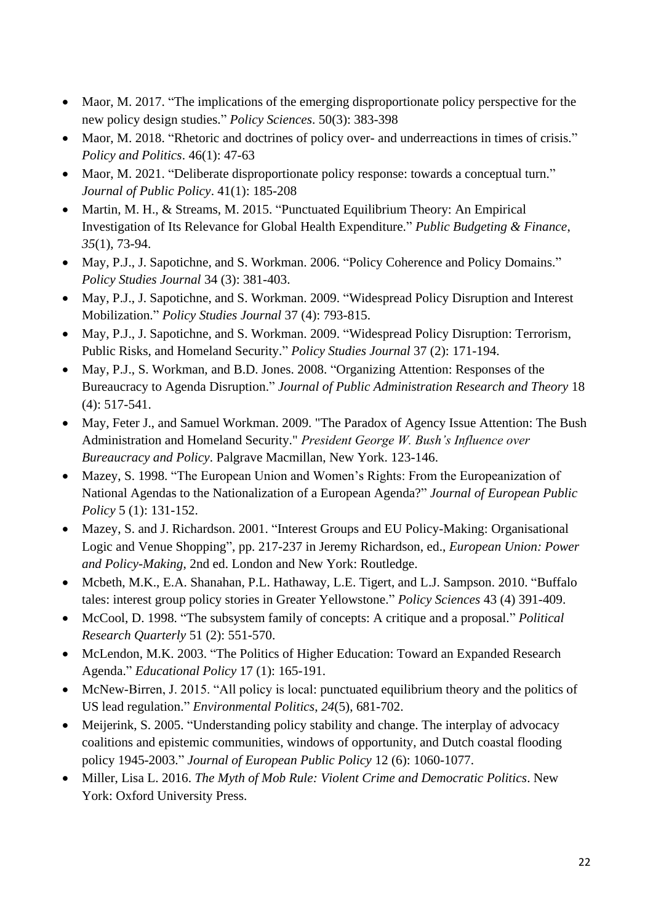- Maor, M. 2017. "The implications of the emerging disproportionate policy perspective for the new policy design studies." *Policy Sciences*. 50(3): 383-398
- Maor, M. 2018. "Rhetoric and doctrines of policy over- and underreactions in times of crisis." *Policy and Politics*. 46(1): 47-63
- Maor, M. 2021. "Deliberate disproportionate policy response: towards a conceptual turn." *Journal of Public Policy*. 41(1): 185-208
- Martin, M. H., & Streams, M. 2015. "Punctuated Equilibrium Theory: An Empirical Investigation of Its Relevance for Global Health Expenditure." *Public Budgeting & Finance*, *35*(1), 73-94.
- May, P.J., J. Sapotichne, and S. Workman. 2006. "Policy Coherence and Policy Domains." *Policy Studies Journal* 34 (3): 381-403.
- May, P.J., J. Sapotichne, and S. Workman. 2009. "Widespread Policy Disruption and Interest Mobilization." *Policy Studies Journal* 37 (4): 793-815.
- May, P.J., J. Sapotichne, and S. Workman. 2009. "Widespread Policy Disruption: Terrorism, Public Risks, and Homeland Security." *Policy Studies Journal* 37 (2): 171-194.
- May, P.J., S. Workman, and B.D. Jones. 2008. "Organizing Attention: Responses of the Bureaucracy to Agenda Disruption." *Journal of Public Administration Research and Theory* 18 (4): 517-541.
- May, Feter J., and Samuel Workman. 2009. "The Paradox of Agency Issue Attention: The Bush Administration and Homeland Security." *President George W. Bush's Influence over Bureaucracy and Policy*. Palgrave Macmillan, New York. 123-146.
- Mazey, S. 1998. "The European Union and Women's Rights: From the Europeanization of National Agendas to the Nationalization of a European Agenda?" *Journal of European Public Policy* 5 (1): 131-152.
- Mazey, S. and J. Richardson. 2001. "Interest Groups and EU Policy-Making: Organisational Logic and Venue Shopping", pp. 217-237 in Jeremy Richardson, ed., *European Union: Power and Policy-Making*, 2nd ed. London and New York: Routledge.
- Mcbeth, M.K., E.A. Shanahan, P.L. Hathaway, L.E. Tigert, and L.J. Sampson. 2010. "Buffalo tales: interest group policy stories in Greater Yellowstone." *Policy Sciences* 43 (4) 391-409.
- McCool, D. 1998. "The subsystem family of concepts: A critique and a proposal." *Political Research Quarterly* 51 (2): 551-570.
- McLendon, M.K. 2003. "The Politics of Higher Education: Toward an Expanded Research Agenda." *Educational Policy* 17 (1): 165-191.
- McNew-Birren, J. 2015. "All policy is local: punctuated equilibrium theory and the politics of US lead regulation." *Environmental Politics*, *24*(5), 681-702.
- Meijerink, S. 2005. "Understanding policy stability and change. The interplay of advocacy coalitions and epistemic communities, windows of opportunity, and Dutch coastal flooding policy 1945-2003." *Journal of European Public Policy* 12 (6): 1060-1077.
- Miller, Lisa L. 2016. *The Myth of Mob Rule: Violent Crime and Democratic Politics*. New York: Oxford University Press.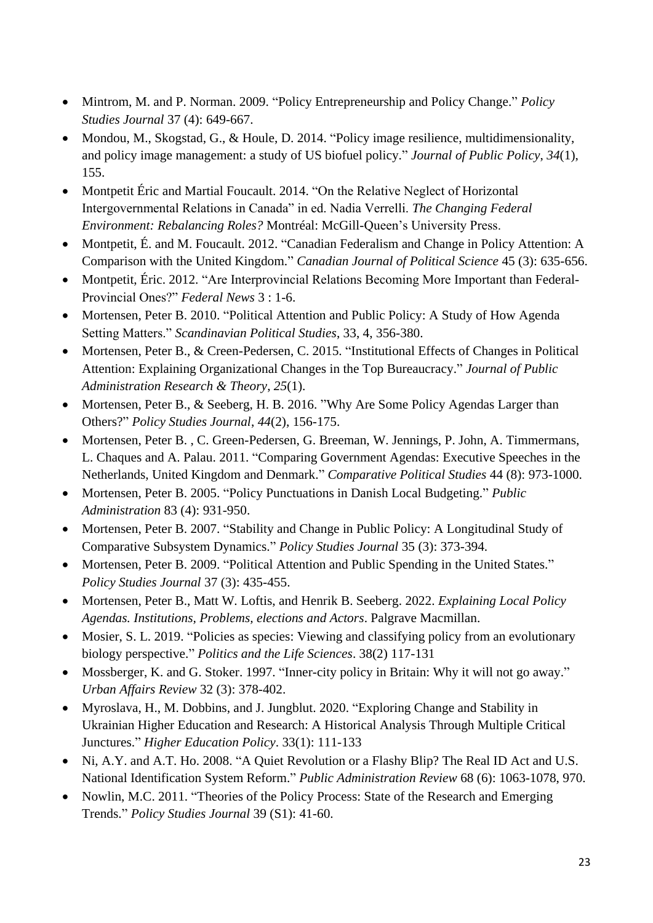- Mintrom, M. and P. Norman. 2009. "Policy Entrepreneurship and Policy Change." *Policy Studies Journal* 37 (4): 649-667.
- Mondou, M., Skogstad, G., & Houle, D. 2014. "Policy image resilience, multidimensionality, and policy image management: a study of US biofuel policy." *Journal of Public Policy*, *34*(1), 155.
- Montpetit Éric and Martial Foucault. 2014. "On the Relative Neglect of Horizontal Intergovernmental Relations in Canada" in ed. Nadia Verrelli. *The Changing Federal Environment: Rebalancing Roles?* Montréal: McGill-Queen's University Press.
- Montpetit, É. and M. Foucault. 2012. "Canadian Federalism and Change in Policy Attention: A Comparison with the United Kingdom." *Canadian Journal of Political Science* 45 (3): 635-656.
- Montpetit, Éric. 2012. "Are Interprovincial Relations Becoming More Important than Federal-Provincial Ones?" *Federal News* 3 : 1-6.
- Mortensen, Peter B. 2010. "Political Attention and Public Policy: A Study of How Agenda Setting Matters." *Scandinavian Political Studies*, 33, 4, 356-380.
- Mortensen, Peter B., & Creen-Pedersen, C. 2015. "Institutional Effects of Changes in Political Attention: Explaining Organizational Changes in the Top Bureaucracy." *Journal of Public Administration Research & Theory*, *25*(1).
- Mortensen, Peter B., & Seeberg, H. B. 2016. "Why Are Some Policy Agendas Larger than Others?" *Policy Studies Journal*, *44*(2), 156-175.
- Mortensen, Peter B. , C. Green-Pedersen, G. Breeman, W. Jennings, P. John, A. Timmermans, L. Chaques and A. Palau. 2011. "Comparing Government Agendas: Executive Speeches in the Netherlands, United Kingdom and Denmark." *Comparative Political Studies* 44 (8): 973-1000.
- Mortensen, Peter B. 2005. "Policy Punctuations in Danish Local Budgeting." *Public Administration* 83 (4): 931-950.
- Mortensen, Peter B. 2007. "Stability and Change in Public Policy: A Longitudinal Study of Comparative Subsystem Dynamics." *Policy Studies Journal* 35 (3): 373-394.
- Mortensen, Peter B. 2009. "Political Attention and Public Spending in the United States." *Policy Studies Journal* 37 (3): 435-455.
- Mortensen, Peter B., Matt W. Loftis, and Henrik B. Seeberg. 2022. *Explaining Local Policy Agendas. Institutions, Problems, elections and Actors*. Palgrave Macmillan.
- Mosier, S. L. 2019. "Policies as species: Viewing and classifying policy from an evolutionary biology perspective." *Politics and the Life Sciences*. 38(2) 117-131
- Mossberger, K. and G. Stoker. 1997. "Inner-city policy in Britain: Why it will not go away." *Urban Affairs Review* 32 (3): 378-402.
- Myroslava, H., M. Dobbins, and J. Jungblut. 2020. "Exploring Change and Stability in Ukrainian Higher Education and Research: A Historical Analysis Through Multiple Critical Junctures." *Higher Education Policy*. 33(1): 111-133
- Ni, A.Y. and A.T. Ho. 2008. "A Quiet Revolution or a Flashy Blip? The Real ID Act and U.S. National Identification System Reform." *Public Administration Review* 68 (6): 1063-1078, 970.
- Nowlin, M.C. 2011. "Theories of the Policy Process: State of the Research and Emerging Trends." *Policy Studies Journal* 39 (S1): 41-60.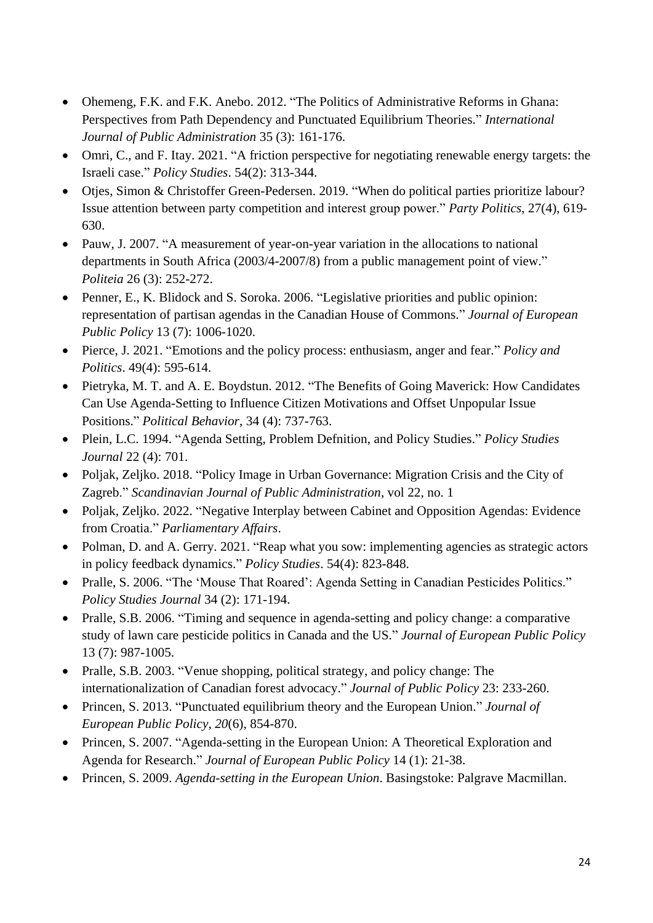- Ohemeng, F.K. and F.K. Anebo. 2012. "The Politics of Administrative Reforms in Ghana: Perspectives from Path Dependency and Punctuated Equilibrium Theories." *International Journal of Public Administration* 35 (3): 161-176.
- Omri, C., and F. Itay. 2021. "A friction perspective for negotiating renewable energy targets: the Israeli case." *Policy Studies*. 54(2): 313-344.
- Otjes, Simon & Christoffer Green-Pedersen. 2019. "When do political parties prioritize labour? Issue attention between party competition and interest group power." *Party Politics*, 27(4), 619- 630.
- Pauw, J. 2007. "A measurement of year-on-year variation in the allocations to national departments in South Africa (2003/4-2007/8) from a public management point of view." *Politeia* 26 (3): 252-272.
- Penner, E., K. Blidock and S. Soroka. 2006. "Legislative priorities and public opinion: representation of partisan agendas in the Canadian House of Commons." *Journal of European Public Policy* 13 (7): 1006-1020.
- Pierce, J. 2021. "Emotions and the policy process: enthusiasm, anger and fear." *Policy and Politics*. 49(4): 595-614.
- Pietryka, M. T. and A. E. Boydstun. 2012. "The Benefits of Going Maverick: How Candidates Can Use Agenda-Setting to Influence Citizen Motivations and Offset Unpopular Issue Positions." *Political Behavior*, 34 (4): 737-763.
- Plein, L.C. 1994. "Agenda Setting, Problem Defnition, and Policy Studies." *Policy Studies Journal* 22 (4): 701.
- Poljak, Zeljko. 2018. "Policy Image in Urban Governance: Migration Crisis and the City of Zagreb." *Scandinavian Journal of Public Administration*, vol 22, no. 1
- Poljak, Zeljko. 2022. "Negative Interplay between Cabinet and Opposition Agendas: Evidence from Croatia." *Parliamentary Affairs*.
- Polman, D. and A. Gerry. 2021. "Reap what you sow: implementing agencies as strategic actors in policy feedback dynamics." *Policy Studies*. 54(4): 823-848.
- Pralle, S. 2006. "The 'Mouse That Roared': Agenda Setting in Canadian Pesticides Politics." *Policy Studies Journal* 34 (2): 171-194.
- Pralle, S.B. 2006. "Timing and sequence in agenda-setting and policy change: a comparative study of lawn care pesticide politics in Canada and the US." *Journal of European Public Policy* 13 (7): 987-1005.
- Pralle, S.B. 2003. "Venue shopping, political strategy, and policy change: The internationalization of Canadian forest advocacy." *Journal of Public Policy* 23: 233-260.
- Princen, S. 2013. "Punctuated equilibrium theory and the European Union." *Journal of European Public Policy*, *20*(6), 854-870.
- Princen, S. 2007. "Agenda-setting in the European Union: A Theoretical Exploration and Agenda for Research." *Journal of European Public Policy* 14 (1): 21-38.
- Princen, S. 2009. *Agenda-setting in the European Union*. Basingstoke: Palgrave Macmillan.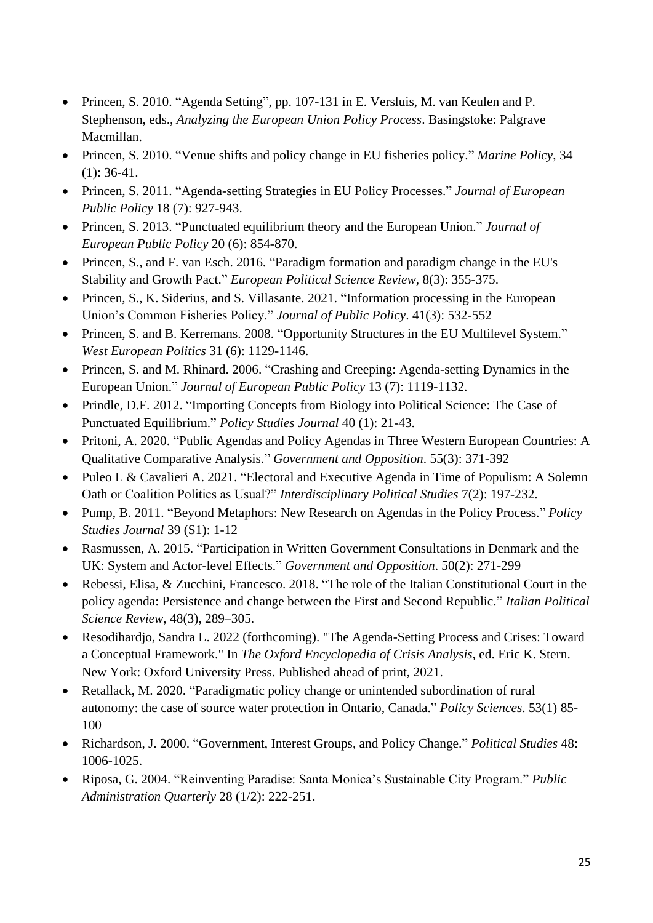- Princen, S. 2010. "Agenda Setting", pp. 107-131 in E. Versluis, M. van Keulen and P. Stephenson, eds., *Analyzing the European Union Policy Process*. Basingstoke: Palgrave Macmillan.
- Princen, S. 2010. "Venue shifts and policy change in EU fisheries policy." *Marine Policy*, 34  $(1)$ : 36-41.
- Princen, S. 2011. "Agenda-setting Strategies in EU Policy Processes." *Journal of European Public Policy* 18 (7): 927-943.
- Princen, S. 2013. "Punctuated equilibrium theory and the European Union." *Journal of European Public Policy* 20 (6): 854-870.
- Princen, S., and F. van Esch. 2016. "Paradigm formation and paradigm change in the EU's Stability and Growth Pact." *European Political Science Review,* 8(3): 355-375.
- Princen, S., K. Siderius, and S. Villasante. 2021. "Information processing in the European Union's Common Fisheries Policy." *Journal of Public Policy*. 41(3): 532-552
- Princen, S. and B. Kerremans. 2008. "Opportunity Structures in the EU Multilevel System." *West European Politics* 31 (6): 1129-1146.
- Princen, S. and M. Rhinard. 2006. "Crashing and Creeping: Agenda-setting Dynamics in the European Union." *Journal of European Public Policy* 13 (7): 1119-1132.
- Prindle, D.F. 2012. "Importing Concepts from Biology into Political Science: The Case of Punctuated Equilibrium." *Policy Studies Journal* 40 (1): 21-43.
- Pritoni, A. 2020. "Public Agendas and Policy Agendas in Three Western European Countries: A Qualitative Comparative Analysis." *Government and Opposition*. 55(3): 371-392
- Puleo L & Cavalieri A. 2021. "Electoral and Executive Agenda in Time of Populism: A Solemn Oath or Coalition Politics as Usual?" *Interdisciplinary Political Studies* 7(2): 197-232.
- Pump, B. 2011. "Beyond Metaphors: New Research on Agendas in the Policy Process." *Policy Studies Journal* 39 (S1): 1-12
- Rasmussen, A. 2015. "Participation in Written Government Consultations in Denmark and the UK: System and Actor-level Effects." *Government and Opposition*. 50(2): 271-299
- Rebessi, Elisa, & Zucchini, Francesco. 2018. "The role of the Italian Constitutional Court in the policy agenda: Persistence and change between the First and Second Republic." *Italian Political Science Review*, 48(3), 289–305.
- Resodihardjo, Sandra L. 2022 (forthcoming). "The Agenda-Setting Process and Crises: Toward a Conceptual Framework." In *The Oxford Encyclopedia of Crisis Analysis*, ed. Eric K. Stern. New York: Oxford University Press. Published ahead of print, 2021.
- Retallack, M. 2020. "Paradigmatic policy change or unintended subordination of rural autonomy: the case of source water protection in Ontario, Canada." *Policy Sciences*. 53(1) 85- 100
- Richardson, J. 2000. "Government, Interest Groups, and Policy Change." *Political Studies* 48: 1006-1025.
- Riposa, G. 2004. "Reinventing Paradise: Santa Monica's Sustainable City Program." *Public Administration Quarterly* 28 (1/2): 222-251.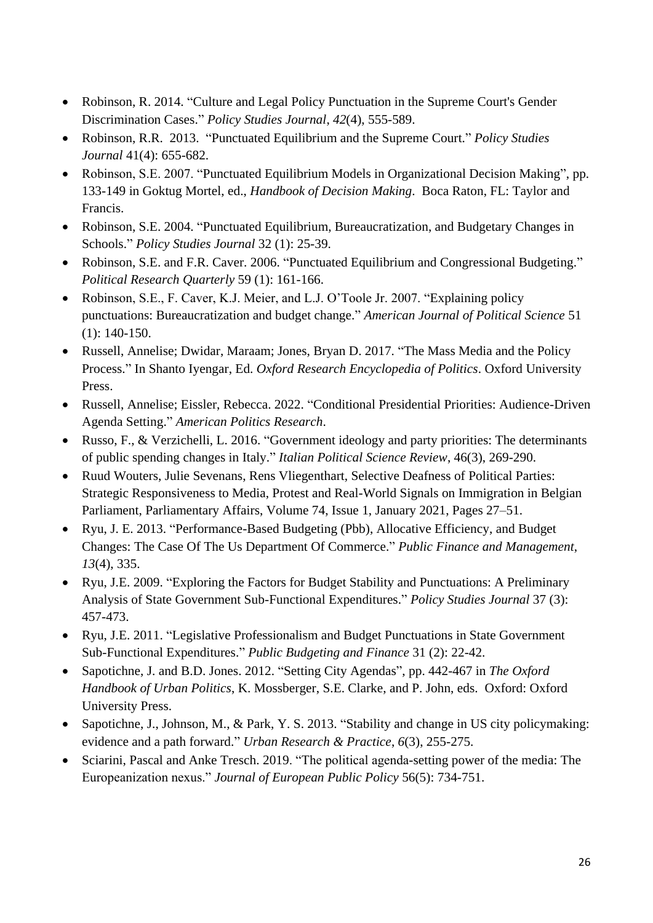- Robinson, R. 2014. "Culture and Legal Policy Punctuation in the Supreme Court's Gender Discrimination Cases." *Policy Studies Journal*, *42*(4), 555-589.
- Robinson, R.R. 2013. "Punctuated Equilibrium and the Supreme Court." *Policy Studies Journal* 41(4): 655-682.
- Robinson, S.E. 2007. "Punctuated Equilibrium Models in Organizational Decision Making", pp. 133-149 in Goktug Mortel, ed., *Handbook of Decision Making*. Boca Raton, FL: Taylor and Francis.
- Robinson, S.E. 2004. "Punctuated Equilibrium, Bureaucratization, and Budgetary Changes in Schools." *Policy Studies Journal* 32 (1): 25-39.
- Robinson, S.E. and F.R. Caver. 2006. "Punctuated Equilibrium and Congressional Budgeting." *Political Research Quarterly* 59 (1): 161-166.
- Robinson, S.E., F. Caver, K.J. Meier, and L.J. O'Toole Jr. 2007. "Explaining policy punctuations: Bureaucratization and budget change." *American Journal of Political Science* 51 (1): 140-150.
- Russell, Annelise; Dwidar, Maraam; Jones, Bryan D. 2017. "The Mass Media and the Policy Process." In Shanto Iyengar, Ed. *Oxford Research Encyclopedia of Politics*. Oxford University Press.
- Russell, Annelise; Eissler, Rebecca. 2022. "Conditional Presidential Priorities: Audience-Driven Agenda Setting." *American Politics Research*.
- Russo, F., & Verzichelli, L. 2016. "Government ideology and party priorities: The determinants of public spending changes in Italy." *Italian Political Science Review*, 46(3), 269-290.
- Ruud Wouters, Julie Sevenans, Rens Vliegenthart, Selective Deafness of Political Parties: Strategic Responsiveness to Media, Protest and Real-World Signals on Immigration in Belgian Parliament, Parliamentary Affairs, Volume 74, Issue 1, January 2021, Pages 27–51.
- Ryu, J. E. 2013. "Performance-Based Budgeting (Pbb), Allocative Efficiency, and Budget Changes: The Case Of The Us Department Of Commerce." *Public Finance and Management*, *13*(4), 335.
- Ryu, J.E. 2009. "Exploring the Factors for Budget Stability and Punctuations: A Preliminary Analysis of State Government Sub-Functional Expenditures." *Policy Studies Journal* 37 (3): 457-473.
- Ryu, J.E. 2011. "Legislative Professionalism and Budget Punctuations in State Government Sub-Functional Expenditures." *Public Budgeting and Finance* 31 (2): 22-42.
- Sapotichne, J. and B.D. Jones. 2012. "Setting City Agendas", pp. 442-467 in *The Oxford Handbook of Urban Politics*, K. Mossberger, S.E. Clarke, and P. John, eds. Oxford: Oxford University Press.
- Sapotichne, J., Johnson, M., & Park, Y. S. 2013. "Stability and change in US city policymaking: evidence and a path forward." *Urban Research & Practice*, *6*(3), 255-275.
- Sciarini, Pascal and Anke Tresch. 2019. "The political agenda-setting power of the media: The Europeanization nexus." *Journal of European Public Policy* 56(5): 734-751.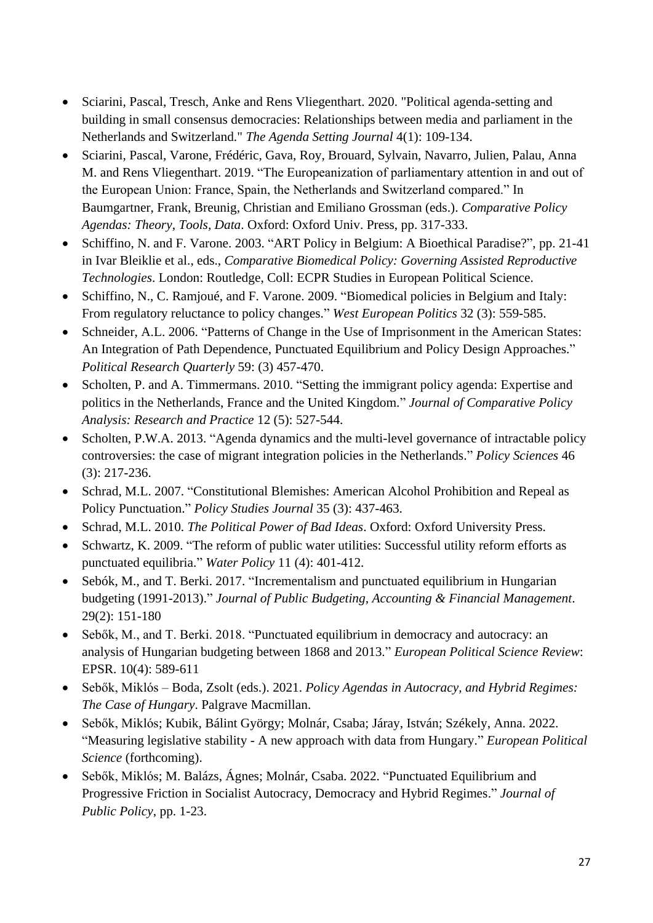- Sciarini, Pascal, Tresch, Anke and Rens Vliegenthart. 2020. "Political agenda-setting and building in small consensus democracies: Relationships between media and parliament in the Netherlands and Switzerland." *The Agenda Setting Journal* 4(1): 109-134.
- Sciarini, Pascal, Varone, Frédéric, Gava, Roy, Brouard, Sylvain, Navarro, Julien, Palau, Anna M. and Rens Vliegenthart. 2019. "The Europeanization of parliamentary attention in and out of the European Union: France, Spain, the Netherlands and Switzerland compared." In Baumgartner, Frank, Breunig, Christian and Emiliano Grossman (eds.). *Comparative Policy Agendas: Theory, Tools, Data*. Oxford: Oxford Univ. Press, pp. 317-333.
- Schiffino, N. and F. Varone. 2003. "ART Policy in Belgium: A Bioethical Paradise?", pp. 21-41 in Ivar Bleiklie et al., eds., *Comparative Biomedical Policy: Governing Assisted Reproductive Technologies*. London: Routledge, Coll: ECPR Studies in European Political Science.
- Schiffino, N., C. Ramjoué, and F. Varone. 2009. "Biomedical policies in Belgium and Italy: From regulatory reluctance to policy changes." *West European Politics* 32 (3): 559-585.
- Schneider, A.L. 2006. "Patterns of Change in the Use of Imprisonment in the American States: An Integration of Path Dependence, Punctuated Equilibrium and Policy Design Approaches." *Political Research Quarterly* 59: (3) 457-470.
- Scholten, P. and A. Timmermans. 2010. "Setting the immigrant policy agenda: Expertise and politics in the Netherlands, France and the United Kingdom." *Journal of Comparative Policy Analysis: Research and Practice* 12 (5): 527-544.
- Scholten, P.W.A. 2013. "Agenda dynamics and the multi-level governance of intractable policy controversies: the case of migrant integration policies in the Netherlands." *Policy Sciences* 46 (3): 217-236.
- Schrad, M.L. 2007. "Constitutional Blemishes: American Alcohol Prohibition and Repeal as Policy Punctuation." *Policy Studies Journal* 35 (3): 437-463.
- Schrad, M.L. 2010. *The Political Power of Bad Ideas*. Oxford: Oxford University Press.
- Schwartz, K. 2009. "The reform of public water utilities: Successful utility reform efforts as punctuated equilibria." *Water Policy* 11 (4): 401-412.
- Sebók, M., and T. Berki. 2017. "Incrementalism and punctuated equilibrium in Hungarian budgeting (1991-2013)." *Journal of Public Budgeting, Accounting & Financial Management*. 29(2): 151-180
- Sebők, M., and T. Berki. 2018. "Punctuated equilibrium in democracy and autocracy: an analysis of Hungarian budgeting between 1868 and 2013." *European Political Science Review*: EPSR. 10(4): 589-611
- Sebők, Miklós Boda, Zsolt (eds.). 2021. *Policy Agendas in Autocracy, and Hybrid Regimes: The Case of Hungary*. Palgrave Macmillan.
- Sebők, Miklós; Kubik, Bálint György; Molnár, Csaba; Járay, István; Székely, Anna. 2022. "Measuring legislative stability - A new approach with data from Hungary." *European Political Science* (forthcoming).
- Sebők, Miklós; M. Balázs, Ágnes; Molnár, Csaba. 2022. "Punctuated Equilibrium and Progressive Friction in Socialist Autocracy, Democracy and Hybrid Regimes." *Journal of Public Policy*, pp. 1-23.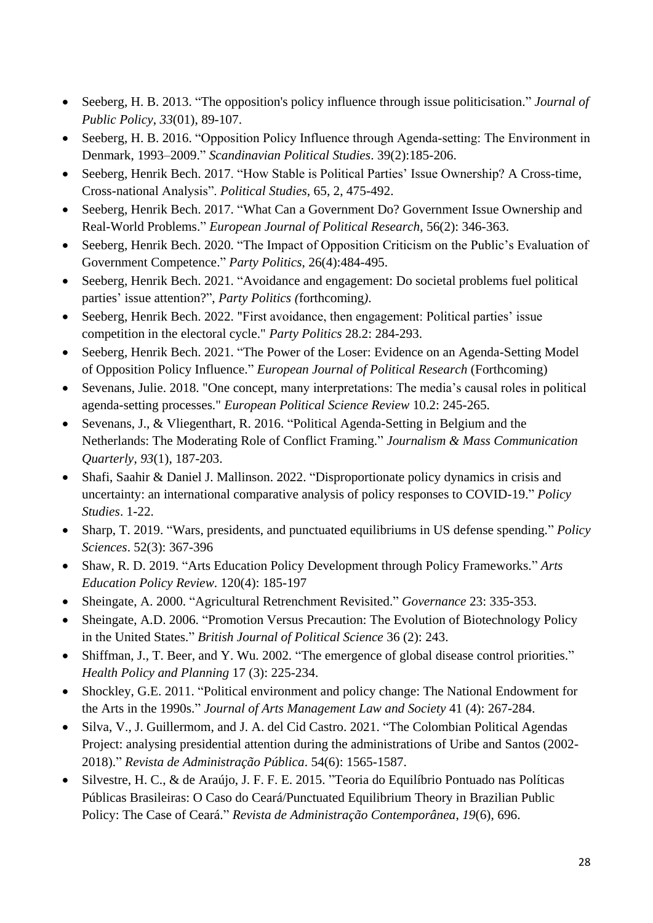- Seeberg, H. B. 2013. "The opposition's policy influence through issue politicisation." *Journal of Public Policy*, *33*(01), 89-107.
- Seeberg, H. B. 2016. "Opposition Policy Influence through Agenda‐setting: The Environment in Denmark, 1993–2009." *Scandinavian Political Studies*. 39(2):185-206.
- Seeberg, Henrik Bech. 2017. "How Stable is Political Parties' Issue Ownership? A Cross-time, Cross-national Analysis". *Political Studies*, 65, 2, 475-492.
- Seeberg, Henrik Bech. 2017. "What Can a Government Do? Government Issue Ownership and Real-World Problems." *European Journal of Political Research*, 56(2): 346-363.
- Seeberg, Henrik Bech. 2020. "The Impact of Opposition Criticism on the Public's Evaluation of Government Competence." *Party Politics*, 26(4):484-495.
- Seeberg, Henrik Bech. 2021. "Avoidance and engagement: Do societal problems fuel political parties' issue attention?", *Party Politics (*forthcoming*)*.
- Seeberg, Henrik Bech. 2022. "First avoidance, then engagement: Political parties' issue competition in the electoral cycle." *Party Politics* 28.2: 284-293.
- Seeberg, Henrik Bech. 2021. "The Power of the Loser: Evidence on an Agenda-Setting Model of Opposition Policy Influence." *European Journal of Political Research* (Forthcoming)
- Sevenans, Julie. 2018. "One concept, many interpretations: The media's causal roles in political agenda-setting processes." *European Political Science Review* 10.2: 245-265.
- Sevenans, J., & Vliegenthart, R. 2016. "Political Agenda-Setting in Belgium and the Netherlands: The Moderating Role of Conflict Framing." *Journalism & Mass Communication Quarterly*, *93*(1), 187-203.
- Shafi, Saahir & Daniel J. Mallinson. 2022. "Disproportionate policy dynamics in crisis and uncertainty: an international comparative analysis of policy responses to COVID-19." *Policy Studies*. 1-22.
- Sharp, T. 2019. "Wars, presidents, and punctuated equilibriums in US defense spending." *Policy Sciences*. 52(3): 367-396
- Shaw, R. D. 2019. "Arts Education Policy Development through Policy Frameworks." *Arts Education Policy Review*. 120(4): 185-197
- Sheingate, A. 2000. "Agricultural Retrenchment Revisited." *Governance* 23: 335-353.
- Sheingate, A.D. 2006. "Promotion Versus Precaution: The Evolution of Biotechnology Policy in the United States." *British Journal of Political Science* 36 (2): 243.
- Shiffman, J., T. Beer, and Y. Wu. 2002. "The emergence of global disease control priorities." *Health Policy and Planning* 17 (3): 225-234.
- Shockley, G.E. 2011. "Political environment and policy change: The National Endowment for the Arts in the 1990s." *Journal of Arts Management Law and Society* 41 (4): 267-284.
- Silva, V., J. Guillermom, and J. A. del Cid Castro. 2021. "The Colombian Political Agendas Project: analysing presidential attention during the administrations of Uribe and Santos (2002- 2018)." *Revista de Administração Pública*. 54(6): 1565-1587.
- Silvestre, H. C., & de Araújo, J. F. F. E. 2015. "Teoria do Equilíbrio Pontuado nas Políticas Públicas Brasileiras: O Caso do Ceará/Punctuated Equilibrium Theory in Brazilian Public Policy: The Case of Ceará." *Revista de Administração Contemporânea*, *19*(6), 696.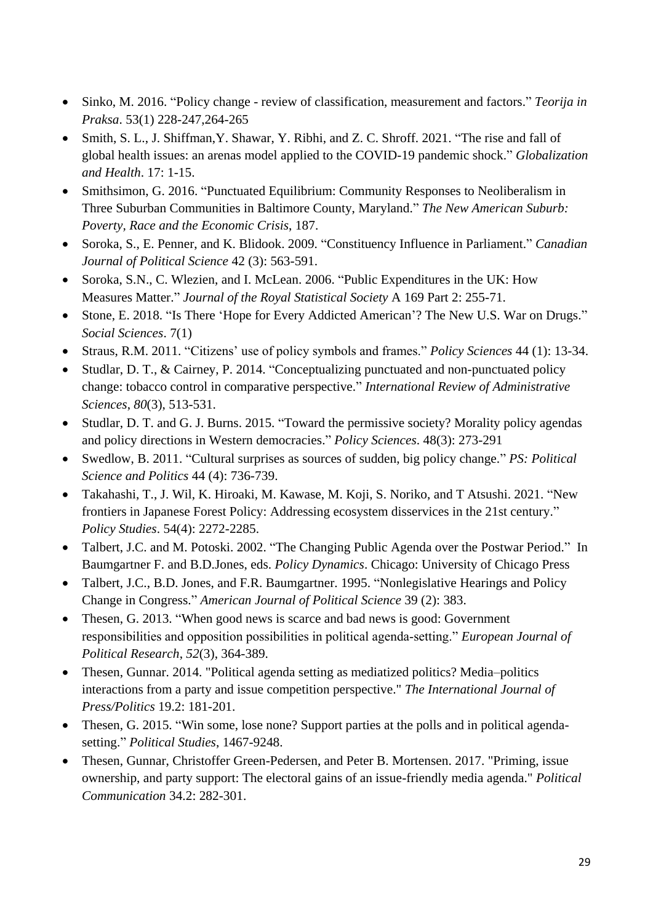- Sinko, M. 2016. "Policy change review of classification, measurement and factors." *Teorija in Praksa*. 53(1) 228-247,264-265
- Smith, S. L., J. Shiffman,Y. Shawar, Y. Ribhi, and Z. C. Shroff. 2021. "The rise and fall of global health issues: an arenas model applied to the COVID-19 pandemic shock." *Globalization and Health*. 17: 1-15.
- Smithsimon, G. 2016. "Punctuated Equilibrium: Community Responses to Neoliberalism in Three Suburban Communities in Baltimore County, Maryland." *The New American Suburb: Poverty, Race and the Economic Crisis*, 187.
- Soroka, S., E. Penner, and K. Blidook. 2009. "Constituency Influence in Parliament." *Canadian Journal of Political Science* 42 (3): 563-591.
- Soroka, S.N., C. Wlezien, and I. McLean. 2006. "Public Expenditures in the UK: How Measures Matter." *Journal of the Royal Statistical Society* A 169 Part 2: 255-71.
- Stone, E. 2018. "Is There 'Hope for Every Addicted American'? The New U.S. War on Drugs." *Social Sciences*. 7(1)
- Straus, R.M. 2011. "Citizens' use of policy symbols and frames." *Policy Sciences* 44 (1): 13-34.
- Studlar, D. T., & Cairney, P. 2014. "Conceptualizing punctuated and non-punctuated policy change: tobacco control in comparative perspective." *International Review of Administrative Sciences*, *80*(3), 513-531.
- Studlar, D. T. and G. J. Burns. 2015. "Toward the permissive society? Morality policy agendas and policy directions in Western democracies." *Policy Sciences*. 48(3): 273-291
- Swedlow, B. 2011. "Cultural surprises as sources of sudden, big policy change." *PS: Political Science and Politics* 44 (4): 736-739.
- Takahashi, T., J. Wil, K. Hiroaki, M. Kawase, M. Koji, S. Noriko, and T Atsushi. 2021. "New frontiers in Japanese Forest Policy: Addressing ecosystem disservices in the 21st century." *Policy Studies*. 54(4): 2272-2285.
- Talbert, J.C. and M. Potoski. 2002. "The Changing Public Agenda over the Postwar Period." In Baumgartner F. and B.D.Jones, eds. *Policy Dynamics*. Chicago: University of Chicago Press
- Talbert, J.C., B.D. Jones, and F.R. Baumgartner. 1995. "Nonlegislative Hearings and Policy Change in Congress." *American Journal of Political Science* 39 (2): 383.
- Thesen, G. 2013. "When good news is scarce and bad news is good: Government responsibilities and opposition possibilities in political agenda‐setting." *European Journal of Political Research*, *52*(3), 364-389.
- Thesen, Gunnar. 2014. "Political agenda setting as mediatized politics? Media–politics interactions from a party and issue competition perspective." *The International Journal of Press/Politics* 19.2: 181-201.
- Thesen, G. 2015. "Win some, lose none? Support parties at the polls and in political agendasetting." *Political Studies*, 1467-9248.
- Thesen, Gunnar, Christoffer Green-Pedersen, and Peter B. Mortensen. 2017. "Priming, issue ownership, and party support: The electoral gains of an issue-friendly media agenda." *Political Communication* 34.2: 282-301.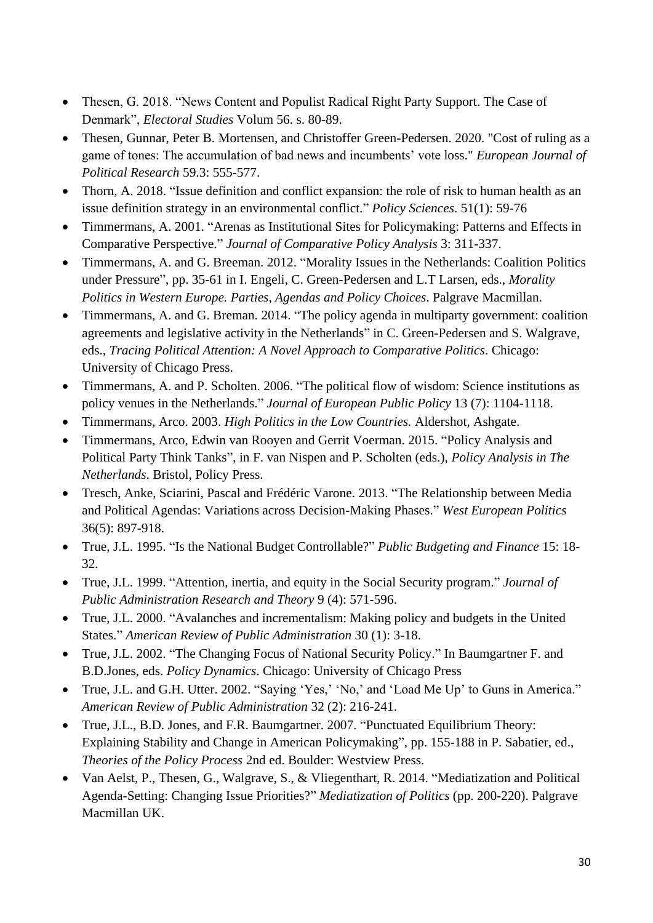- Thesen, G. 2018. "News Content and Populist Radical Right Party Support. The Case of Denmark", *Electoral Studies* Volum 56. s. 80-89.
- Thesen, Gunnar, Peter B. Mortensen, and Christoffer Green-Pedersen. 2020. "Cost of ruling as a game of tones: The accumulation of bad news and incumbents' vote loss." *European Journal of Political Research* 59.3: 555-577.
- Thorn, A. 2018. "Issue definition and conflict expansion: the role of risk to human health as an issue definition strategy in an environmental conflict." *Policy Sciences*. 51(1): 59-76
- Timmermans, A. 2001. "Arenas as Institutional Sites for Policymaking: Patterns and Effects in Comparative Perspective." *Journal of Comparative Policy Analysis* 3: 311-337.
- Timmermans, A. and G. Breeman. 2012. "Morality Issues in the Netherlands: Coalition Politics under Pressure", pp. 35-61 in I. Engeli, C. Green-Pedersen and L.T Larsen, eds., *Morality Politics in Western Europe. Parties, Agendas and Policy Choices*. Palgrave Macmillan.
- Timmermans, A. and G. Breman. 2014. "The policy agenda in multiparty government: coalition agreements and legislative activity in the Netherlands" in C. Green-Pedersen and S. Walgrave, eds., *Tracing Political Attention: A Novel Approach to Comparative Politics*. Chicago: University of Chicago Press.
- Timmermans, A. and P. Scholten. 2006. "The political flow of wisdom: Science institutions as policy venues in the Netherlands." *Journal of European Public Policy* 13 (7): 1104-1118.
- Timmermans, Arco. 2003. *High Politics in the Low Countries.* Aldershot, Ashgate.
- Timmermans, Arco, Edwin van Rooyen and Gerrit Voerman. 2015. "Policy Analysis and Political Party Think Tanks", in F. van Nispen and P. Scholten (eds.), *Policy Analysis in The Netherlands*. Bristol, Policy Press.
- Tresch, Anke, Sciarini, Pascal and Frédéric Varone. 2013. "The Relationship between Media and Political Agendas: Variations across Decision-Making Phases." *West European Politics* 36(5): 897-918.
- True, J.L. 1995. "Is the National Budget Controllable?" *Public Budgeting and Finance* 15: 18- 32.
- True, J.L. 1999. "Attention, inertia, and equity in the Social Security program." *Journal of Public Administration Research and Theory* 9 (4): 571-596.
- True, J.L. 2000. "Avalanches and incrementalism: Making policy and budgets in the United States." *American Review of Public Administration* 30 (1): 3-18.
- True, J.L. 2002. "The Changing Focus of National Security Policy." In Baumgartner F. and B.D.Jones, eds. *Policy Dynamics*. Chicago: University of Chicago Press
- True, J.L. and G.H. Utter. 2002. "Saying 'Yes,' 'No,' and 'Load Me Up' to Guns in America." *American Review of Public Administration* 32 (2): 216-241.
- True, J.L., B.D. Jones, and F.R. Baumgartner. 2007. "Punctuated Equilibrium Theory: Explaining Stability and Change in American Policymaking", pp. 155-188 in P. Sabatier, ed., *Theories of the Policy Process* 2nd ed. Boulder: Westview Press.
- Van Aelst, P., Thesen, G., Walgrave, S., & Vliegenthart, R. 2014. "Mediatization and Political Agenda-Setting: Changing Issue Priorities?" *Mediatization of Politics* (pp. 200-220). Palgrave Macmillan UK.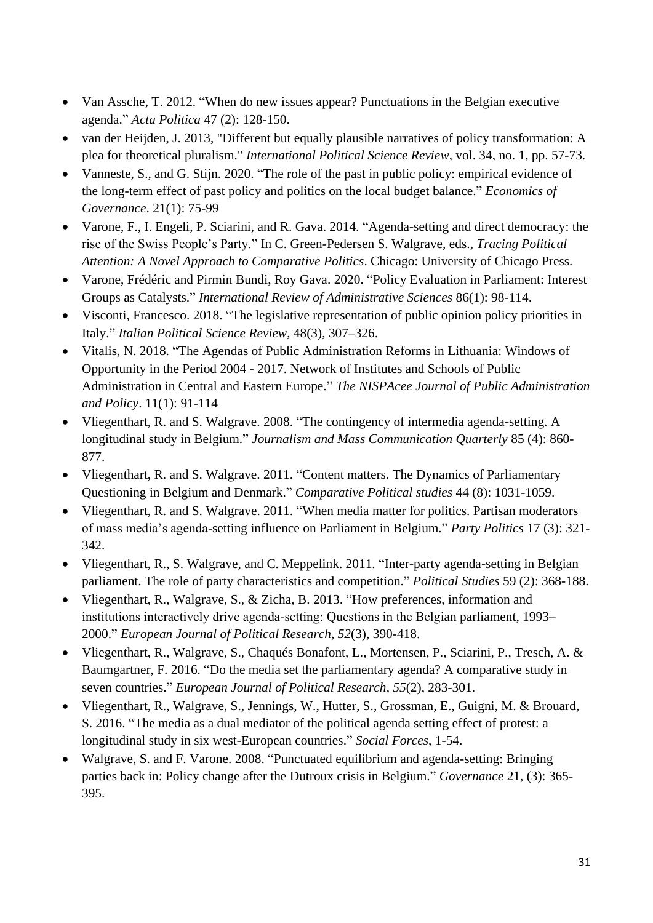- Van Assche, T. 2012. "When do new issues appear? Punctuations in the Belgian executive agenda." *Acta Politica* 47 (2): 128-150.
- van der Heijden, J. 2013, "Different but equally plausible narratives of policy transformation: A plea for theoretical pluralism." *International Political Science Review*, vol. 34, no. 1, pp. 57-73.
- Vanneste, S., and G. Stijn. 2020. "The role of the past in public policy: empirical evidence of the long-term effect of past policy and politics on the local budget balance." *Economics of Governance*. 21(1): 75-99
- Varone, F., I. Engeli, P. Sciarini, and R. Gava. 2014. "Agenda-setting and direct democracy: the rise of the Swiss People's Party." In C. Green-Pedersen S. Walgrave, eds., *Tracing Political Attention: A Novel Approach to Comparative Politics*. Chicago: University of Chicago Press.
- Varone, Frédéric and Pirmin Bundi, Roy Gava. 2020. "Policy Evaluation in Parliament: Interest Groups as Catalysts." *International Review of Administrative Sciences* 86(1): 98-114.
- Visconti, Francesco. 2018. "The legislative representation of public opinion policy priorities in Italy." *Italian Political Science Review*, 48(3), 307–326.
- Vitalis, N. 2018. "The Agendas of Public Administration Reforms in Lithuania: Windows of Opportunity in the Period 2004 - 2017. Network of Institutes and Schools of Public Administration in Central and Eastern Europe." *The NISPAcee Journal of Public Administration and Policy*. 11(1): 91-114
- Vliegenthart, R. and S. Walgrave. 2008. "The contingency of intermedia agenda-setting. A longitudinal study in Belgium." *Journalism and Mass Communication Quarterly* 85 (4): 860- 877.
- Vliegenthart, R. and S. Walgrave. 2011. "Content matters. The Dynamics of Parliamentary Questioning in Belgium and Denmark." *Comparative Political studies* 44 (8): 1031-1059.
- Vliegenthart, R. and S. Walgrave. 2011. "When media matter for politics. Partisan moderators of mass media's agenda-setting influence on Parliament in Belgium." *Party Politics* 17 (3): 321- 342.
- Vliegenthart, R., S. Walgrave, and C. Meppelink. 2011. "Inter-party agenda-setting in Belgian parliament. The role of party characteristics and competition." *Political Studies* 59 (2): 368-188.
- Vliegenthart, R., Walgrave, S., & Zicha, B. 2013. "How preferences, information and institutions interactively drive agenda‐setting: Questions in the Belgian parliament, 1993– 2000." *European Journal of Political Research*, *52*(3), 390-418.
- Vliegenthart, R., Walgrave, S., Chaqués Bonafont, L., Mortensen, P., Sciarini, P., Tresch, A. & Baumgartner, F. 2016. "Do the media set the parliamentary agenda? A comparative study in seven countries." *European Journal of Political Research*, *55*(2), 283-301.
- Vliegenthart, R., Walgrave, S., Jennings, W., Hutter, S., Grossman, E., Guigni, M. & Brouard, S. 2016. "The media as a dual mediator of the political agenda setting effect of protest: a longitudinal study in six west-European countries." *Social Forces*, 1-54.
- Walgrave, S. and F. Varone. 2008. "Punctuated equilibrium and agenda-setting: Bringing parties back in: Policy change after the Dutroux crisis in Belgium." *Governance* 21, (3): 365- 395.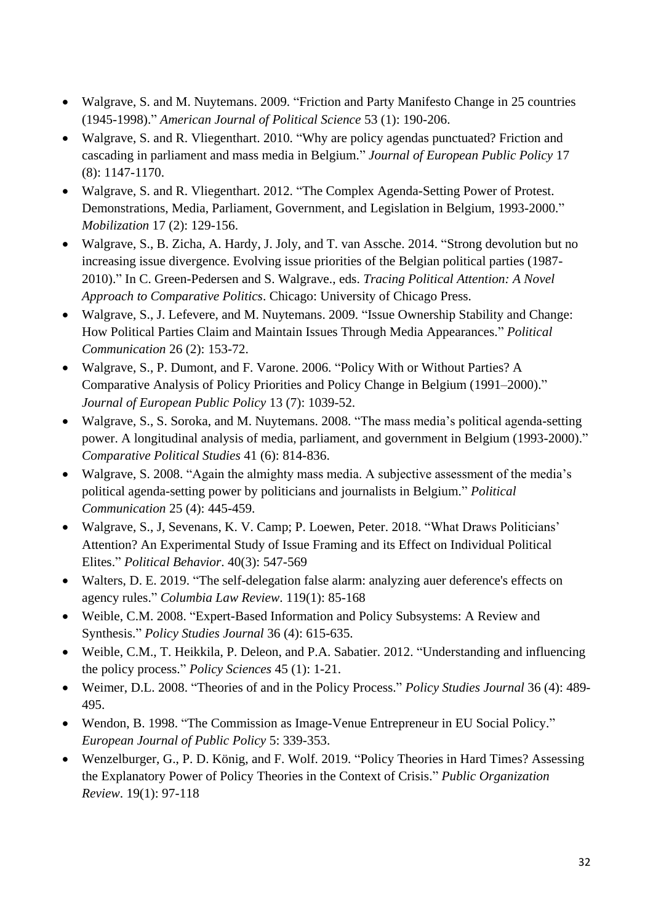- Walgrave, S. and M. Nuytemans. 2009. "Friction and Party Manifesto Change in 25 countries (1945-1998)." *American Journal of Political Science* 53 (1): 190-206.
- Walgrave, S. and R. Vliegenthart. 2010. "Why are policy agendas punctuated? Friction and cascading in parliament and mass media in Belgium." *Journal of European Public Policy* 17 (8): 1147-1170.
- Walgrave, S. and R. Vliegenthart. 2012. "The Complex Agenda-Setting Power of Protest. Demonstrations, Media, Parliament, Government, and Legislation in Belgium, 1993-2000." *Mobilization* 17 (2): 129-156.
- Walgrave, S., B. Zicha, A. Hardy, J. Joly, and T. van Assche. 2014. "Strong devolution but no increasing issue divergence. Evolving issue priorities of the Belgian political parties (1987- 2010)." In C. Green-Pedersen and S. Walgrave., eds. *Tracing Political Attention: A Novel Approach to Comparative Politics*. Chicago: University of Chicago Press.
- Walgrave, S., J. Lefevere, and M. Nuytemans. 2009. "Issue Ownership Stability and Change: How Political Parties Claim and Maintain Issues Through Media Appearances." *Political Communication* 26 (2): 153-72.
- Walgrave, S., P. Dumont, and F. Varone. 2006. "Policy With or Without Parties? A Comparative Analysis of Policy Priorities and Policy Change in Belgium (1991–2000)." *Journal of European Public Policy* 13 (7): 1039-52.
- Walgrave, S., S. Soroka, and M. Nuytemans. 2008. "The mass media's political agenda-setting power. A longitudinal analysis of media, parliament, and government in Belgium (1993-2000)." *Comparative Political Studies* 41 (6): 814-836.
- Walgrave, S. 2008. "Again the almighty mass media. A subjective assessment of the media's political agenda-setting power by politicians and journalists in Belgium." *Political Communication* 25 (4): 445-459.
- Walgrave, S., J, Sevenans, K. V. Camp; P. Loewen, Peter. 2018. "What Draws Politicians' Attention? An Experimental Study of Issue Framing and its Effect on Individual Political Elites." *Political Behavior*. 40(3): 547-569
- Walters, D. E. 2019. "The self-delegation false alarm: analyzing auer deference's effects on agency rules." *Columbia Law Review*. 119(1): 85-168
- Weible, C.M. 2008. "Expert-Based Information and Policy Subsystems: A Review and Synthesis." *Policy Studies Journal* 36 (4): 615-635.
- Weible, C.M., T. Heikkila, P. Deleon, and P.A. Sabatier. 2012. "Understanding and influencing the policy process." *Policy Sciences* 45 (1): 1-21.
- Weimer, D.L. 2008. "Theories of and in the Policy Process." *Policy Studies Journal* 36 (4): 489- 495.
- Wendon, B. 1998. "The Commission as Image-Venue Entrepreneur in EU Social Policy." *European Journal of Public Policy* 5: 339-353.
- Wenzelburger, G., P. D. König, and F. Wolf. 2019. "Policy Theories in Hard Times? Assessing the Explanatory Power of Policy Theories in the Context of Crisis." *Public Organization Review*. 19(1): 97-118